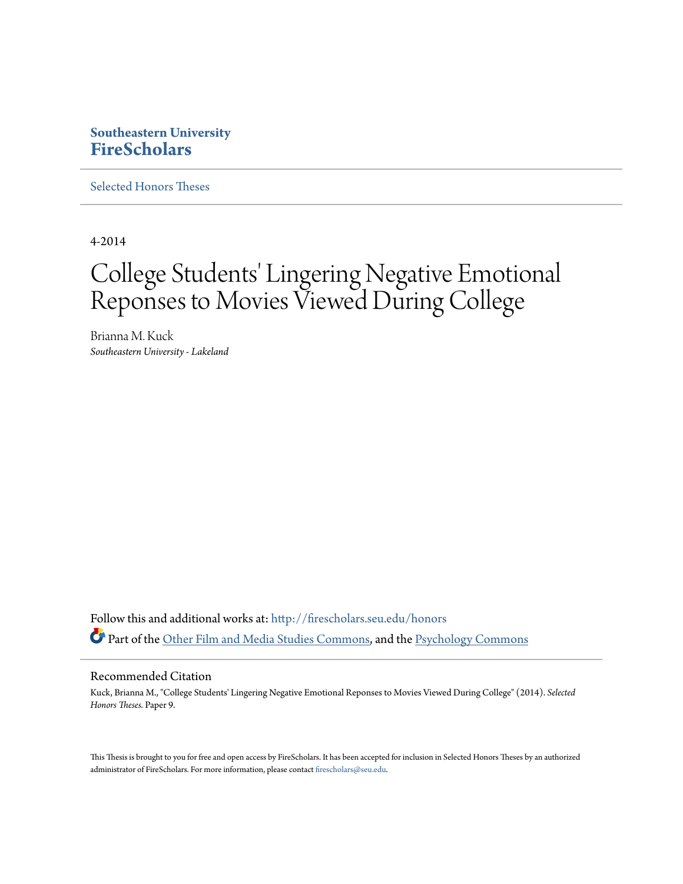## **Southeastern University [FireScholars](http://firescholars.seu.edu?utm_source=firescholars.seu.edu%2Fhonors%2F9&utm_medium=PDF&utm_campaign=PDFCoverPages)**

[Selected Honors Theses](http://firescholars.seu.edu/honors?utm_source=firescholars.seu.edu%2Fhonors%2F9&utm_medium=PDF&utm_campaign=PDFCoverPages)

4-2014

# College Students' Lingering Negative Emotional Reponses to Movies Viewed During College

Brianna M. Kuck *Southeastern University - Lakeland*

Follow this and additional works at: [http://firescholars.seu.edu/honors](http://firescholars.seu.edu/honors?utm_source=firescholars.seu.edu%2Fhonors%2F9&utm_medium=PDF&utm_campaign=PDFCoverPages) Part of the [Other Film and Media Studies Commons,](http://network.bepress.com/hgg/discipline/565?utm_source=firescholars.seu.edu%2Fhonors%2F9&utm_medium=PDF&utm_campaign=PDFCoverPages) and the [Psychology Commons](http://network.bepress.com/hgg/discipline/404?utm_source=firescholars.seu.edu%2Fhonors%2F9&utm_medium=PDF&utm_campaign=PDFCoverPages)

#### Recommended Citation

Kuck, Brianna M., "College Students' Lingering Negative Emotional Reponses to Movies Viewed During College" (2014). *Selected Honors Theses.* Paper 9.

This Thesis is brought to you for free and open access by FireScholars. It has been accepted for inclusion in Selected Honors Theses by an authorized administrator of FireScholars. For more information, please contact [firescholars@seu.edu](mailto:firescholars@seu.edu).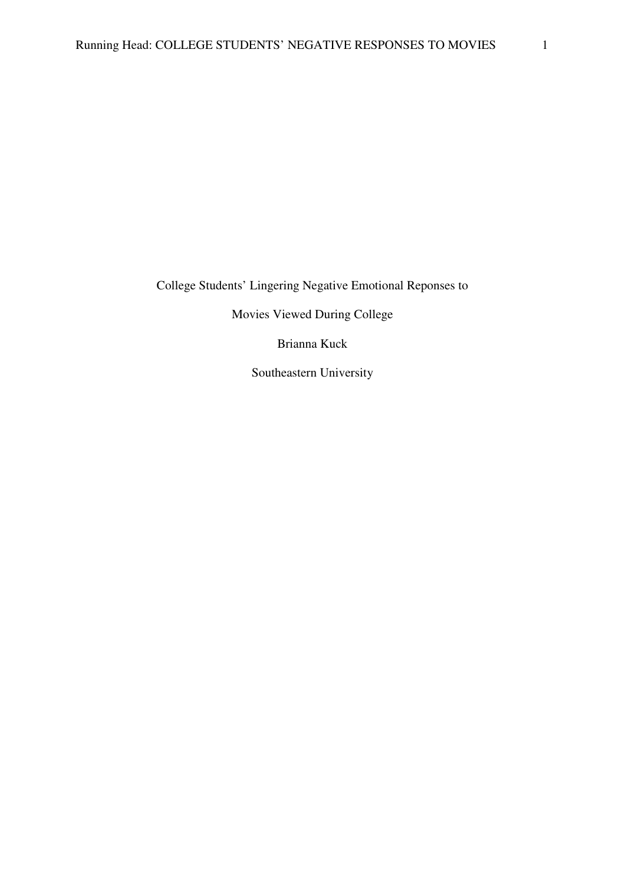College Students' Lingering Negative Emotional Reponses to

Movies Viewed During College

Brianna Kuck

Southeastern University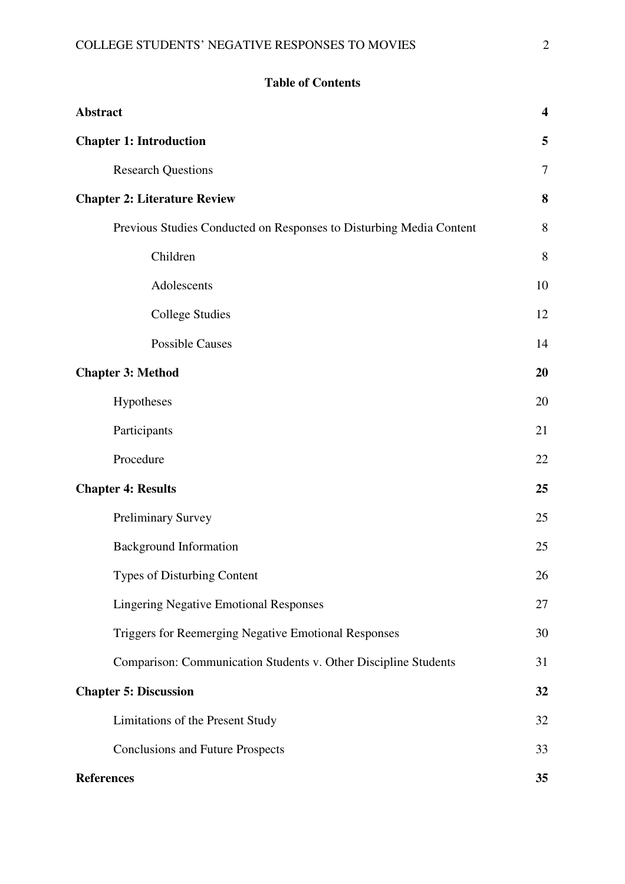| <b>Abstract</b>                                                     | $\overline{\mathbf{4}}$ |
|---------------------------------------------------------------------|-------------------------|
| <b>Chapter 1: Introduction</b>                                      | 5                       |
| <b>Research Questions</b>                                           | 7                       |
| <b>Chapter 2: Literature Review</b>                                 | 8                       |
| Previous Studies Conducted on Responses to Disturbing Media Content | 8                       |
| Children                                                            | 8                       |
| Adolescents                                                         | 10                      |
| <b>College Studies</b>                                              | 12                      |
| <b>Possible Causes</b>                                              | 14                      |
| <b>Chapter 3: Method</b>                                            | 20                      |
| Hypotheses                                                          | 20                      |
| Participants                                                        | 21                      |
| Procedure                                                           | 22                      |
| <b>Chapter 4: Results</b>                                           | 25                      |
| <b>Preliminary Survey</b>                                           | 25                      |
| <b>Background Information</b>                                       |                         |
| Types of Disturbing Content                                         | 26                      |
| <b>Lingering Negative Emotional Responses</b>                       |                         |
| Triggers for Reemerging Negative Emotional Responses                | 30                      |
| Comparison: Communication Students v. Other Discipline Students     | 31                      |
| <b>Chapter 5: Discussion</b>                                        |                         |
| Limitations of the Present Study                                    |                         |
| <b>Conclusions and Future Prospects</b>                             | 33                      |
| <b>References</b>                                                   | 35                      |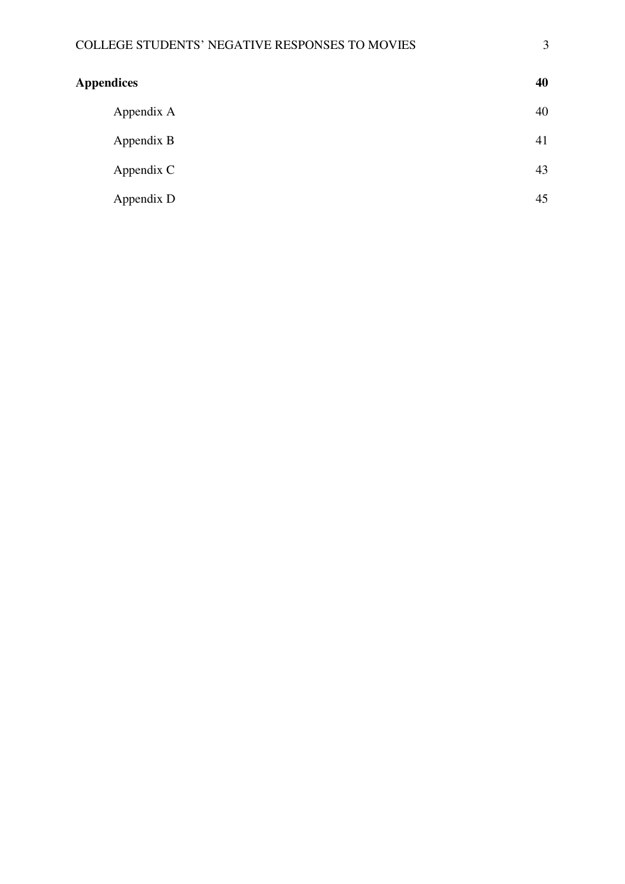| <b>Appendices</b> | 40 |
|-------------------|----|
| Appendix A        | 40 |
| Appendix B        | 41 |
| Appendix C        | 43 |
| Appendix D        | 45 |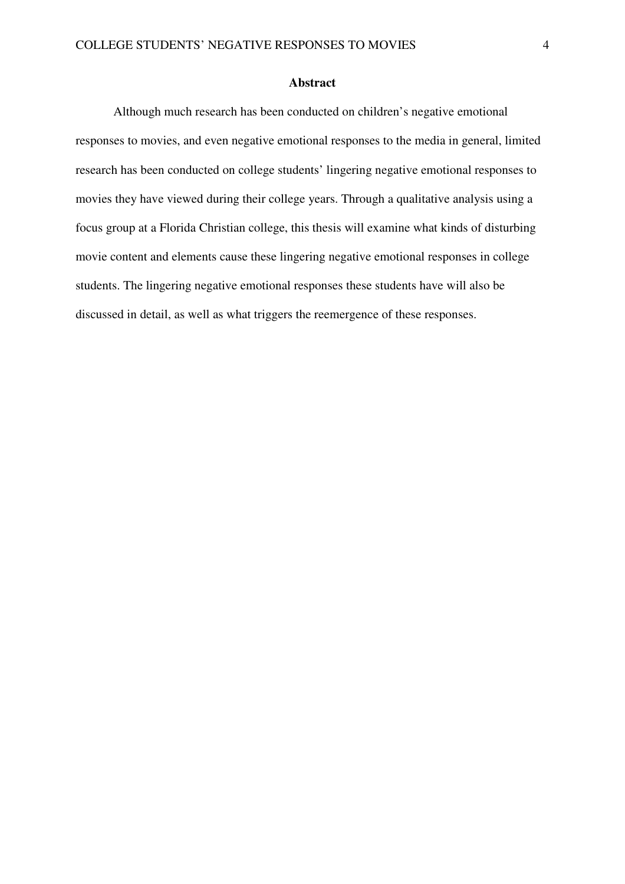#### **Abstract**

Although much research has been conducted on children's negative emotional responses to movies, and even negative emotional responses to the media in general, limited research has been conducted on college students' lingering negative emotional responses to movies they have viewed during their college years. Through a qualitative analysis using a focus group at a Florida Christian college, this thesis will examine what kinds of disturbing movie content and elements cause these lingering negative emotional responses in college students. The lingering negative emotional responses these students have will also be discussed in detail, as well as what triggers the reemergence of these responses.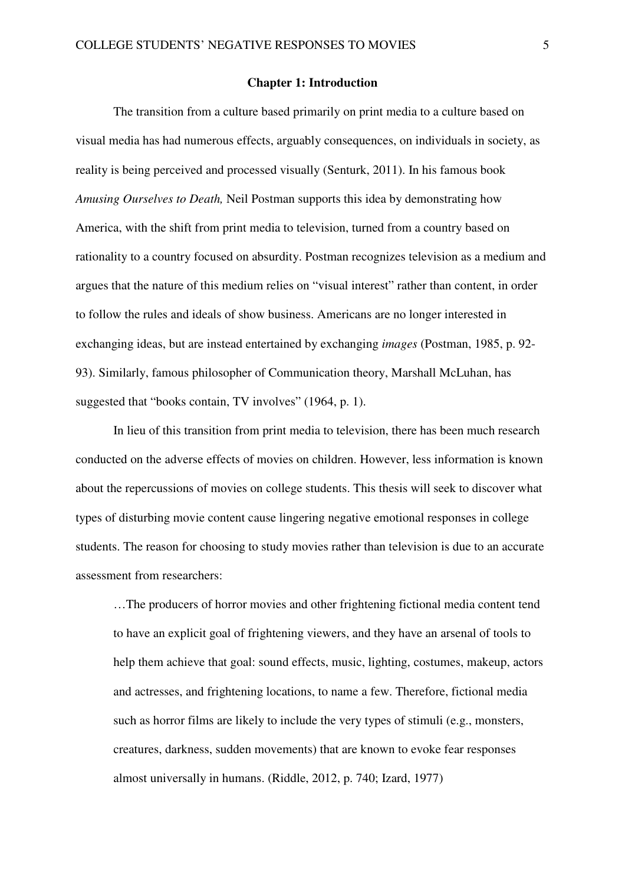#### **Chapter 1: Introduction**

 The transition from a culture based primarily on print media to a culture based on visual media has had numerous effects, arguably consequences, on individuals in society, as reality is being perceived and processed visually (Senturk, 2011). In his famous book *Amusing Ourselves to Death,* Neil Postman supports this idea by demonstrating how America, with the shift from print media to television, turned from a country based on rationality to a country focused on absurdity. Postman recognizes television as a medium and argues that the nature of this medium relies on "visual interest" rather than content, in order to follow the rules and ideals of show business. Americans are no longer interested in exchanging ideas, but are instead entertained by exchanging *images* (Postman, 1985, p. 92- 93). Similarly, famous philosopher of Communication theory, Marshall McLuhan, has suggested that "books contain, TV involves" (1964, p. 1).

In lieu of this transition from print media to television, there has been much research conducted on the adverse effects of movies on children. However, less information is known about the repercussions of movies on college students. This thesis will seek to discover what types of disturbing movie content cause lingering negative emotional responses in college students. The reason for choosing to study movies rather than television is due to an accurate assessment from researchers:

…The producers of horror movies and other frightening fictional media content tend to have an explicit goal of frightening viewers, and they have an arsenal of tools to help them achieve that goal: sound effects, music, lighting, costumes, makeup, actors and actresses, and frightening locations, to name a few. Therefore, fictional media such as horror films are likely to include the very types of stimuli (e.g., monsters, creatures, darkness, sudden movements) that are known to evoke fear responses almost universally in humans. (Riddle, 2012, p. 740; Izard, 1977)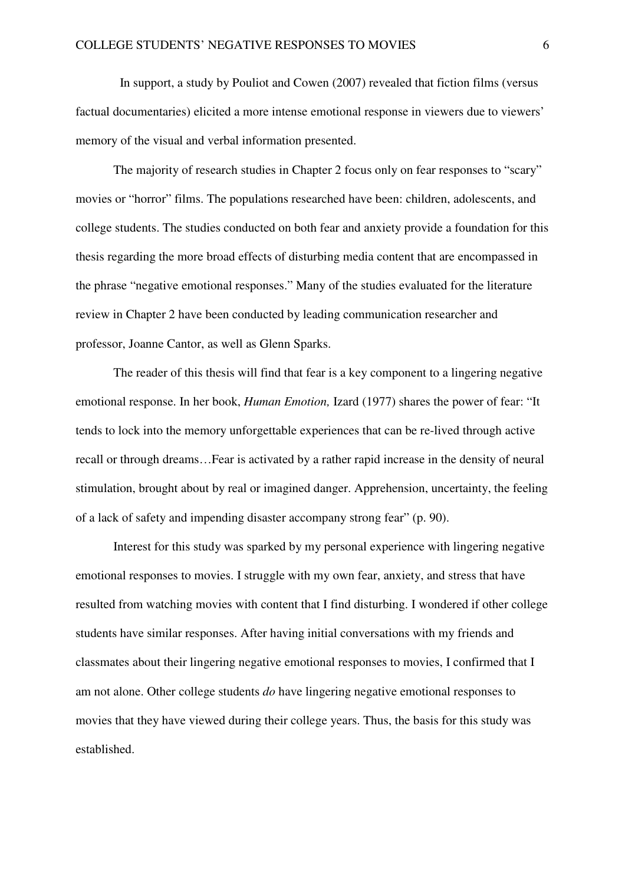In support, a study by Pouliot and Cowen (2007) revealed that fiction films (versus factual documentaries) elicited a more intense emotional response in viewers due to viewers' memory of the visual and verbal information presented.

The majority of research studies in Chapter 2 focus only on fear responses to "scary" movies or "horror" films. The populations researched have been: children, adolescents, and college students. The studies conducted on both fear and anxiety provide a foundation for this thesis regarding the more broad effects of disturbing media content that are encompassed in the phrase "negative emotional responses." Many of the studies evaluated for the literature review in Chapter 2 have been conducted by leading communication researcher and professor, Joanne Cantor, as well as Glenn Sparks.

 The reader of this thesis will find that fear is a key component to a lingering negative emotional response. In her book, *Human Emotion,* Izard (1977) shares the power of fear: "It tends to lock into the memory unforgettable experiences that can be re-lived through active recall or through dreams…Fear is activated by a rather rapid increase in the density of neural stimulation, brought about by real or imagined danger. Apprehension, uncertainty, the feeling of a lack of safety and impending disaster accompany strong fear" (p. 90).

Interest for this study was sparked by my personal experience with lingering negative emotional responses to movies. I struggle with my own fear, anxiety, and stress that have resulted from watching movies with content that I find disturbing. I wondered if other college students have similar responses. After having initial conversations with my friends and classmates about their lingering negative emotional responses to movies, I confirmed that I am not alone. Other college students *do* have lingering negative emotional responses to movies that they have viewed during their college years. Thus, the basis for this study was established.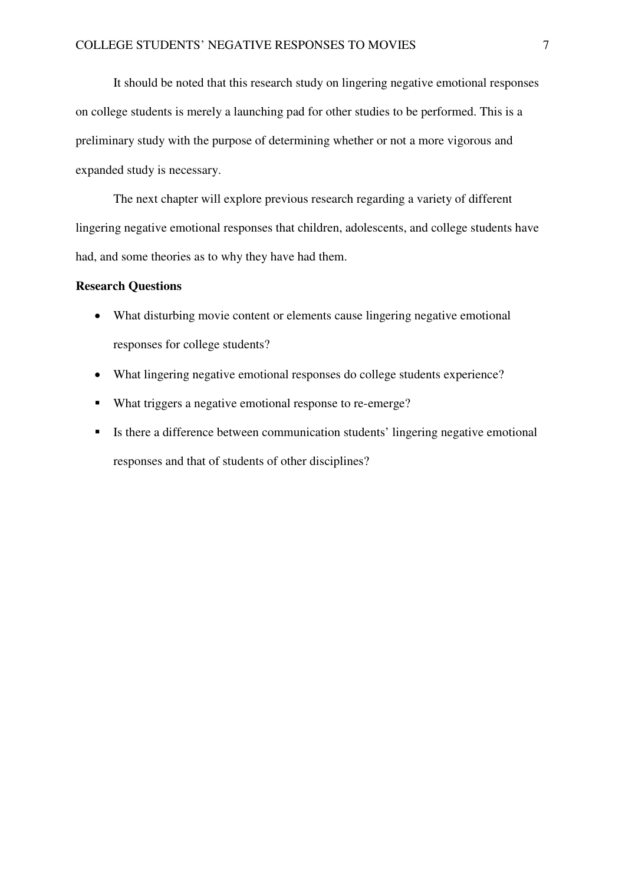It should be noted that this research study on lingering negative emotional responses on college students is merely a launching pad for other studies to be performed. This is a preliminary study with the purpose of determining whether or not a more vigorous and expanded study is necessary.

The next chapter will explore previous research regarding a variety of different lingering negative emotional responses that children, adolescents, and college students have had, and some theories as to why they have had them.

## **Research Questions**

- What disturbing movie content or elements cause lingering negative emotional responses for college students?
- What lingering negative emotional responses do college students experience?
- What triggers a negative emotional response to re-emerge?
- Is there a difference between communication students' lingering negative emotional responses and that of students of other disciplines?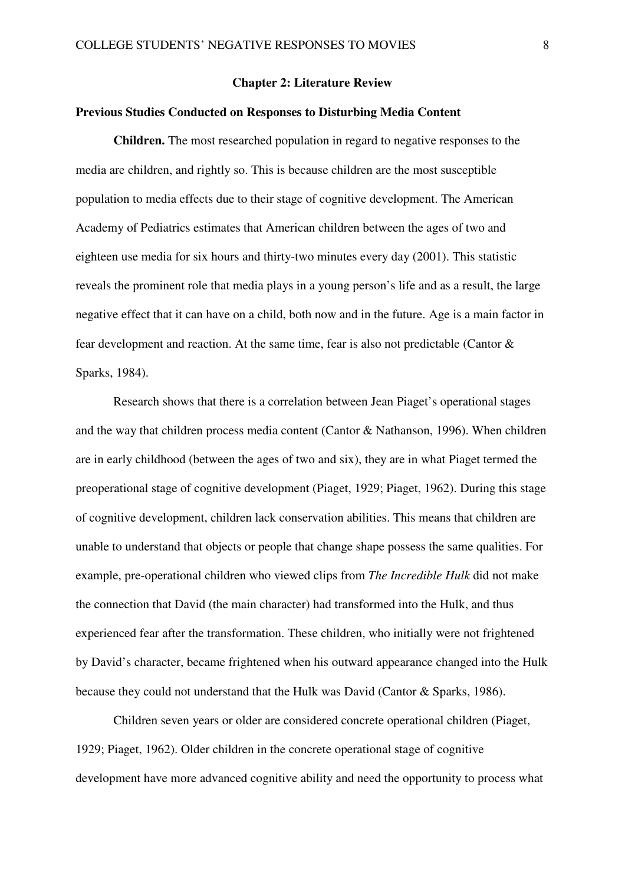#### **Chapter 2: Literature Review**

## **Previous Studies Conducted on Responses to Disturbing Media Content**

**Children.** The most researched population in regard to negative responses to the media are children, and rightly so. This is because children are the most susceptible population to media effects due to their stage of cognitive development. The American Academy of Pediatrics estimates that American children between the ages of two and eighteen use media for six hours and thirty-two minutes every day (2001). This statistic reveals the prominent role that media plays in a young person's life and as a result, the large negative effect that it can have on a child, both now and in the future. Age is a main factor in fear development and reaction. At the same time, fear is also not predictable (Cantor & Sparks, 1984).

Research shows that there is a correlation between Jean Piaget's operational stages and the way that children process media content (Cantor & Nathanson, 1996). When children are in early childhood (between the ages of two and six), they are in what Piaget termed the preoperational stage of cognitive development (Piaget, 1929; Piaget, 1962). During this stage of cognitive development, children lack conservation abilities. This means that children are unable to understand that objects or people that change shape possess the same qualities. For example, pre-operational children who viewed clips from *The Incredible Hulk* did not make the connection that David (the main character) had transformed into the Hulk, and thus experienced fear after the transformation. These children, who initially were not frightened by David's character, became frightened when his outward appearance changed into the Hulk because they could not understand that the Hulk was David (Cantor & Sparks, 1986).

Children seven years or older are considered concrete operational children (Piaget, 1929; Piaget, 1962). Older children in the concrete operational stage of cognitive development have more advanced cognitive ability and need the opportunity to process what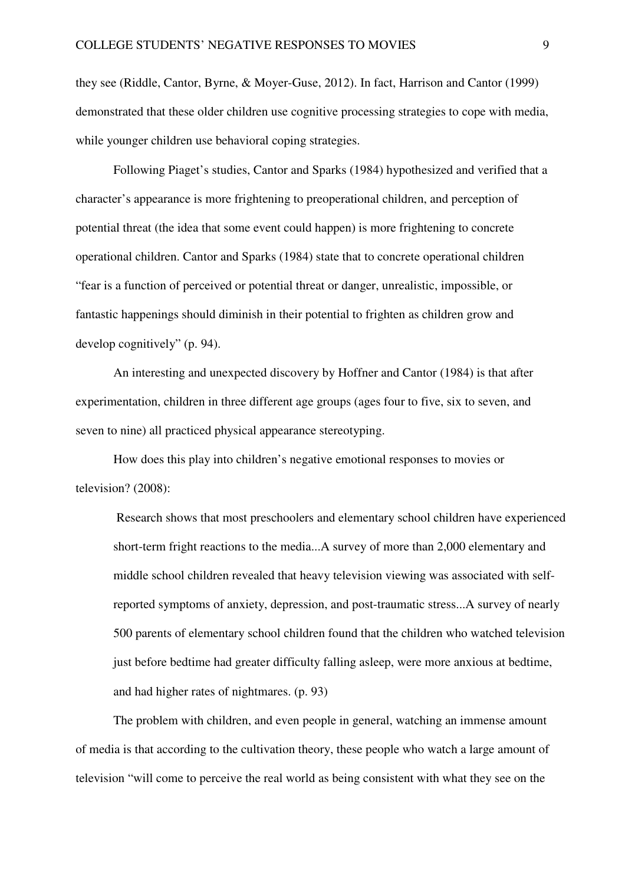they see (Riddle, Cantor, Byrne, & Moyer-Guse, 2012). In fact, Harrison and Cantor (1999) demonstrated that these older children use cognitive processing strategies to cope with media, while younger children use behavioral coping strategies.

Following Piaget's studies, Cantor and Sparks (1984) hypothesized and verified that a character's appearance is more frightening to preoperational children, and perception of potential threat (the idea that some event could happen) is more frightening to concrete operational children. Cantor and Sparks (1984) state that to concrete operational children "fear is a function of perceived or potential threat or danger, unrealistic, impossible, or fantastic happenings should diminish in their potential to frighten as children grow and develop cognitively" (p. 94).

 An interesting and unexpected discovery by Hoffner and Cantor (1984) is that after experimentation, children in three different age groups (ages four to five, six to seven, and seven to nine) all practiced physical appearance stereotyping.

 How does this play into children's negative emotional responses to movies or television? (2008):

 Research shows that most preschoolers and elementary school children have experienced short-term fright reactions to the media...A survey of more than 2,000 elementary and middle school children revealed that heavy television viewing was associated with selfreported symptoms of anxiety, depression, and post-traumatic stress...A survey of nearly 500 parents of elementary school children found that the children who watched television just before bedtime had greater difficulty falling asleep, were more anxious at bedtime, and had higher rates of nightmares. (p. 93)

 The problem with children, and even people in general, watching an immense amount of media is that according to the cultivation theory, these people who watch a large amount of television "will come to perceive the real world as being consistent with what they see on the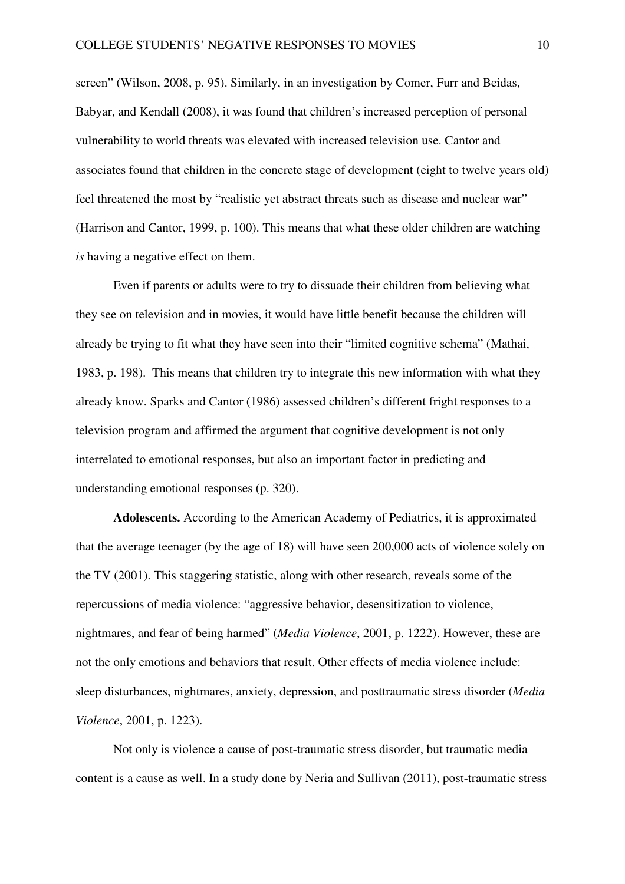screen" (Wilson, 2008, p. 95). Similarly, in an investigation by Comer, Furr and Beidas, Babyar, and Kendall (2008), it was found that children's increased perception of personal vulnerability to world threats was elevated with increased television use. Cantor and associates found that children in the concrete stage of development (eight to twelve years old) feel threatened the most by "realistic yet abstract threats such as disease and nuclear war" (Harrison and Cantor, 1999, p. 100). This means that what these older children are watching *is* having a negative effect on them.

Even if parents or adults were to try to dissuade their children from believing what they see on television and in movies, it would have little benefit because the children will already be trying to fit what they have seen into their "limited cognitive schema" (Mathai, 1983, p. 198). This means that children try to integrate this new information with what they already know. Sparks and Cantor (1986) assessed children's different fright responses to a television program and affirmed the argument that cognitive development is not only interrelated to emotional responses, but also an important factor in predicting and understanding emotional responses (p. 320).

**Adolescents.** According to the American Academy of Pediatrics, it is approximated that the average teenager (by the age of 18) will have seen 200,000 acts of violence solely on the TV (2001). This staggering statistic, along with other research, reveals some of the repercussions of media violence: "aggressive behavior, desensitization to violence, nightmares, and fear of being harmed" (*Media Violence*, 2001, p. 1222). However, these are not the only emotions and behaviors that result. Other effects of media violence include: sleep disturbances, nightmares, anxiety, depression, and posttraumatic stress disorder (*Media Violence*, 2001, p. 1223).

 Not only is violence a cause of post-traumatic stress disorder, but traumatic media content is a cause as well. In a study done by Neria and Sullivan (2011), post-traumatic stress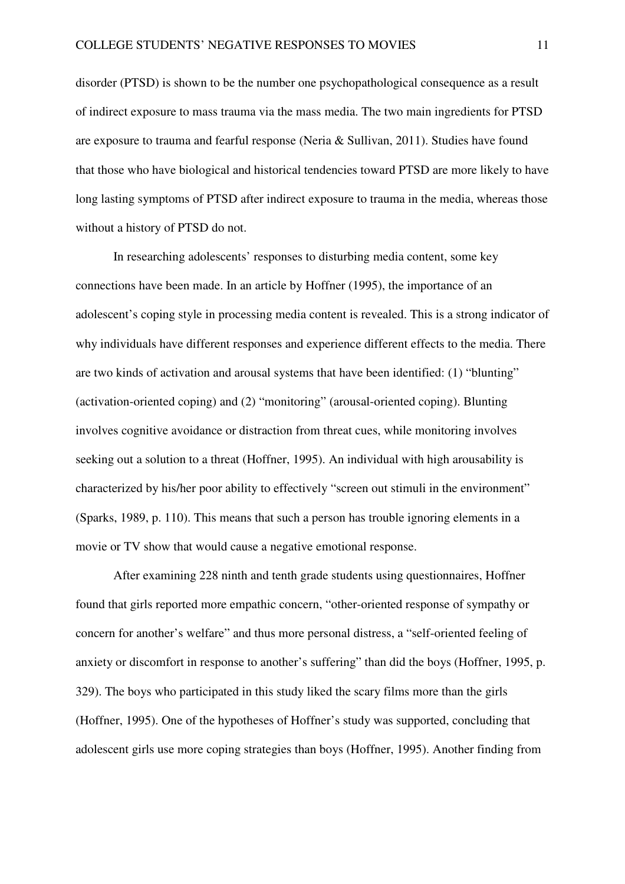disorder (PTSD) is shown to be the number one psychopathological consequence as a result of indirect exposure to mass trauma via the mass media. The two main ingredients for PTSD are exposure to trauma and fearful response (Neria & Sullivan, 2011). Studies have found that those who have biological and historical tendencies toward PTSD are more likely to have long lasting symptoms of PTSD after indirect exposure to trauma in the media, whereas those without a history of PTSD do not.

In researching adolescents' responses to disturbing media content, some key connections have been made. In an article by Hoffner (1995), the importance of an adolescent's coping style in processing media content is revealed. This is a strong indicator of why individuals have different responses and experience different effects to the media. There are two kinds of activation and arousal systems that have been identified: (1) "blunting" (activation-oriented coping) and (2) "monitoring" (arousal-oriented coping). Blunting involves cognitive avoidance or distraction from threat cues, while monitoring involves seeking out a solution to a threat (Hoffner, 1995). An individual with high arousability is characterized by his/her poor ability to effectively "screen out stimuli in the environment" (Sparks, 1989, p. 110). This means that such a person has trouble ignoring elements in a movie or TV show that would cause a negative emotional response.

After examining 228 ninth and tenth grade students using questionnaires, Hoffner found that girls reported more empathic concern, "other-oriented response of sympathy or concern for another's welfare" and thus more personal distress, a "self-oriented feeling of anxiety or discomfort in response to another's suffering" than did the boys (Hoffner, 1995, p. 329). The boys who participated in this study liked the scary films more than the girls (Hoffner, 1995). One of the hypotheses of Hoffner's study was supported, concluding that adolescent girls use more coping strategies than boys (Hoffner, 1995). Another finding from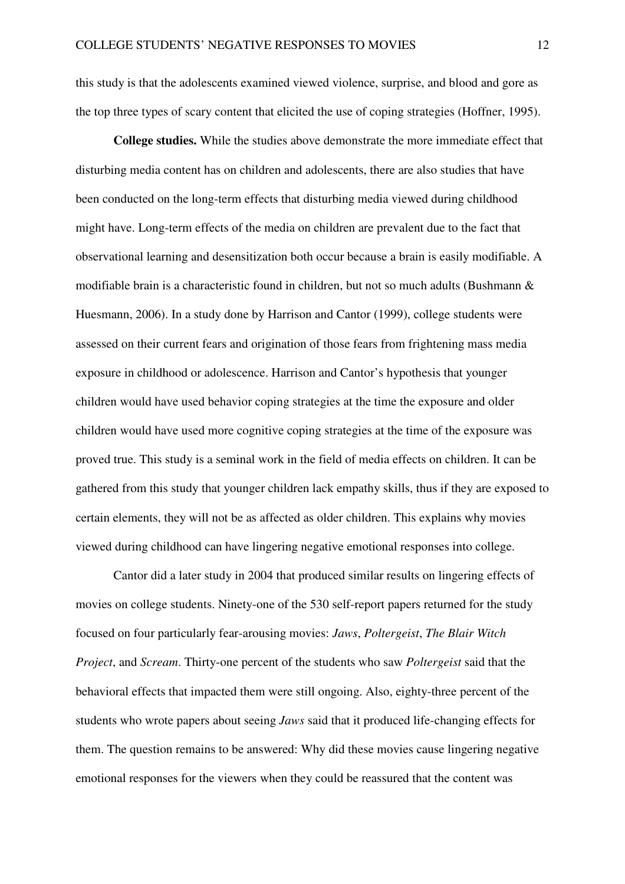this study is that the adolescents examined viewed violence, surprise, and blood and gore as the top three types of scary content that elicited the use of coping strategies (Hoffner, 1995).

**College studies.** While the studies above demonstrate the more immediate effect that disturbing media content has on children and adolescents, there are also studies that have been conducted on the long-term effects that disturbing media viewed during childhood might have. Long-term effects of the media on children are prevalent due to the fact that observational learning and desensitization both occur because a brain is easily modifiable. A modifiable brain is a characteristic found in children, but not so much adults (Bushmann & Huesmann, 2006). In a study done by Harrison and Cantor (1999), college students were assessed on their current fears and origination of those fears from frightening mass media exposure in childhood or adolescence. Harrison and Cantor's hypothesis that younger children would have used behavior coping strategies at the time the exposure and older children would have used more cognitive coping strategies at the time of the exposure was proved true. This study is a seminal work in the field of media effects on children. It can be gathered from this study that younger children lack empathy skills, thus if they are exposed to certain elements, they will not be as affected as older children. This explains why movies viewed during childhood can have lingering negative emotional responses into college.

 Cantor did a later study in 2004 that produced similar results on lingering effects of movies on college students. Ninety-one of the 530 self-report papers returned for the study focused on four particularly fear-arousing movies: *Jaws*, *Poltergeist*, *The Blair Witch Project*, and *Scream*. Thirty-one percent of the students who saw *Poltergeist* said that the behavioral effects that impacted them were still ongoing. Also, eighty-three percent of the students who wrote papers about seeing *Jaws* said that it produced life-changing effects for them. The question remains to be answered: Why did these movies cause lingering negative emotional responses for the viewers when they could be reassured that the content was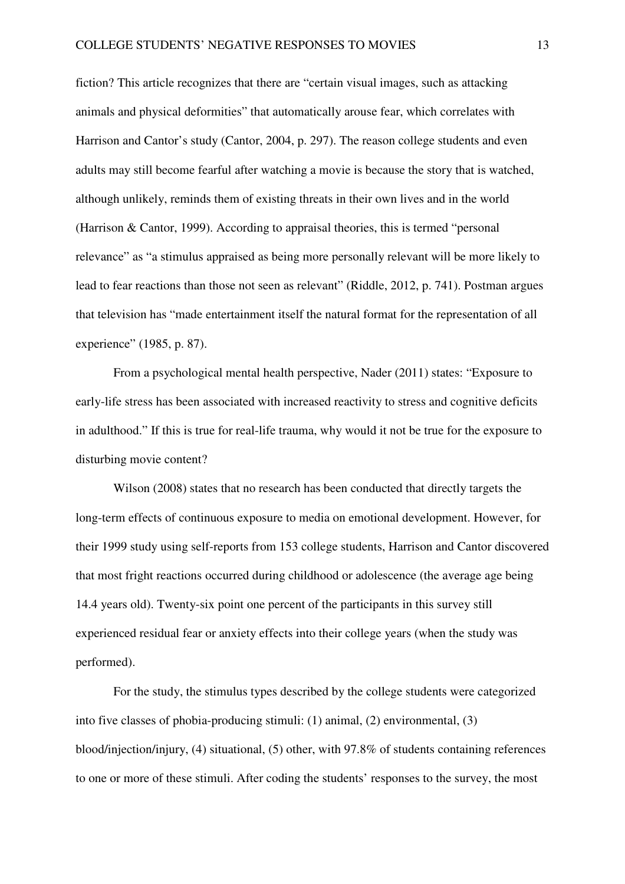fiction? This article recognizes that there are "certain visual images, such as attacking animals and physical deformities" that automatically arouse fear, which correlates with Harrison and Cantor's study (Cantor, 2004, p. 297). The reason college students and even adults may still become fearful after watching a movie is because the story that is watched, although unlikely, reminds them of existing threats in their own lives and in the world (Harrison & Cantor, 1999). According to appraisal theories, this is termed "personal relevance" as "a stimulus appraised as being more personally relevant will be more likely to lead to fear reactions than those not seen as relevant" (Riddle, 2012, p. 741). Postman argues that television has "made entertainment itself the natural format for the representation of all experience" (1985, p. 87).

From a psychological mental health perspective, Nader (2011) states: "Exposure to early-life stress has been associated with increased reactivity to stress and cognitive deficits in adulthood." If this is true for real-life trauma, why would it not be true for the exposure to disturbing movie content?

Wilson (2008) states that no research has been conducted that directly targets the long-term effects of continuous exposure to media on emotional development. However, for their 1999 study using self-reports from 153 college students, Harrison and Cantor discovered that most fright reactions occurred during childhood or adolescence (the average age being 14.4 years old). Twenty-six point one percent of the participants in this survey still experienced residual fear or anxiety effects into their college years (when the study was performed).

For the study, the stimulus types described by the college students were categorized into five classes of phobia-producing stimuli: (1) animal, (2) environmental, (3) blood/injection/injury, (4) situational, (5) other, with 97.8% of students containing references to one or more of these stimuli. After coding the students' responses to the survey, the most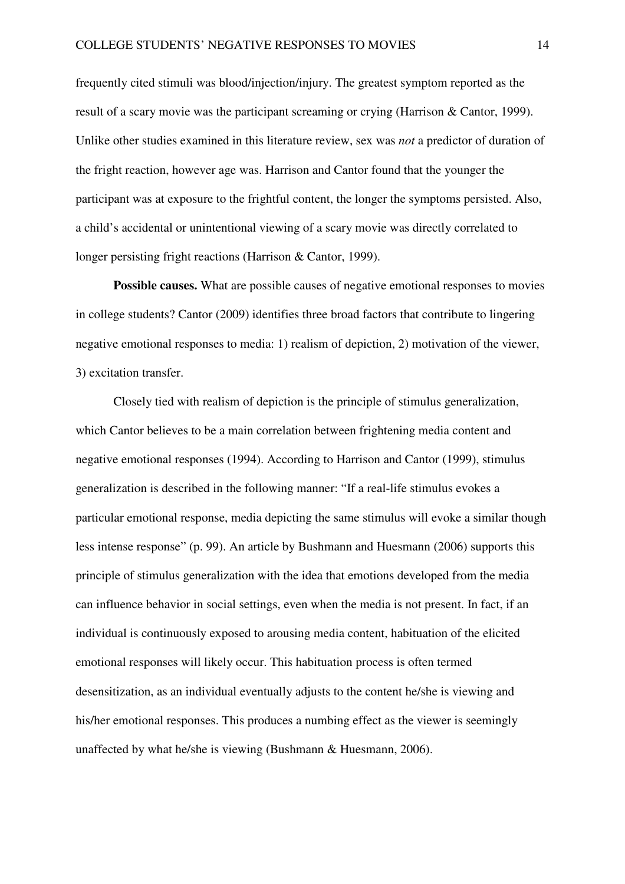frequently cited stimuli was blood/injection/injury. The greatest symptom reported as the result of a scary movie was the participant screaming or crying (Harrison & Cantor, 1999). Unlike other studies examined in this literature review, sex was *not* a predictor of duration of the fright reaction, however age was. Harrison and Cantor found that the younger the participant was at exposure to the frightful content, the longer the symptoms persisted. Also, a child's accidental or unintentional viewing of a scary movie was directly correlated to longer persisting fright reactions (Harrison & Cantor, 1999).

**Possible causes.** What are possible causes of negative emotional responses to movies in college students? Cantor (2009) identifies three broad factors that contribute to lingering negative emotional responses to media: 1) realism of depiction, 2) motivation of the viewer, 3) excitation transfer.

Closely tied with realism of depiction is the principle of stimulus generalization, which Cantor believes to be a main correlation between frightening media content and negative emotional responses (1994). According to Harrison and Cantor (1999), stimulus generalization is described in the following manner: "If a real-life stimulus evokes a particular emotional response, media depicting the same stimulus will evoke a similar though less intense response" (p. 99). An article by Bushmann and Huesmann (2006) supports this principle of stimulus generalization with the idea that emotions developed from the media can influence behavior in social settings, even when the media is not present. In fact, if an individual is continuously exposed to arousing media content, habituation of the elicited emotional responses will likely occur. This habituation process is often termed desensitization, as an individual eventually adjusts to the content he/she is viewing and his/her emotional responses. This produces a numbing effect as the viewer is seemingly unaffected by what he/she is viewing (Bushmann & Huesmann, 2006).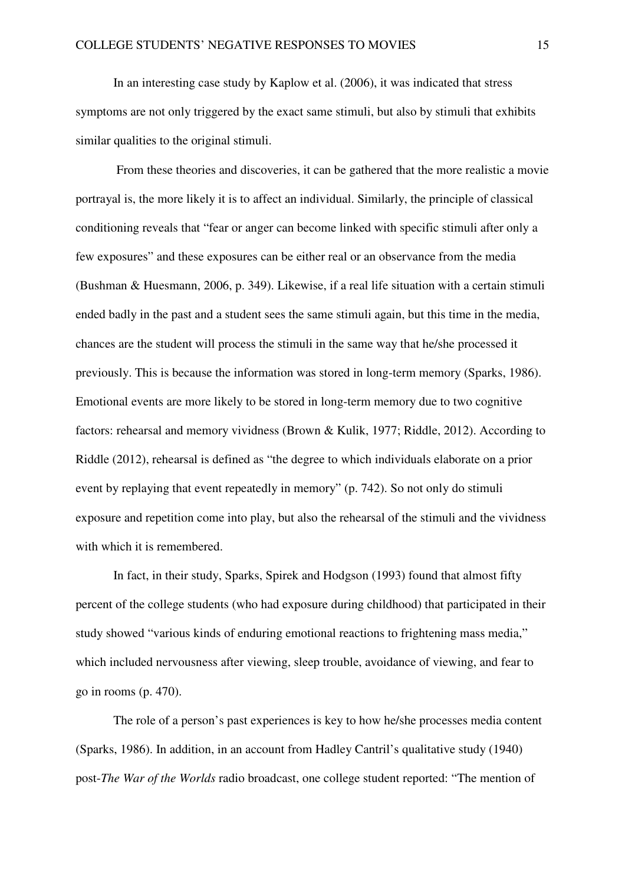In an interesting case study by Kaplow et al. (2006), it was indicated that stress symptoms are not only triggered by the exact same stimuli, but also by stimuli that exhibits similar qualities to the original stimuli.

 From these theories and discoveries, it can be gathered that the more realistic a movie portrayal is, the more likely it is to affect an individual. Similarly, the principle of classical conditioning reveals that "fear or anger can become linked with specific stimuli after only a few exposures" and these exposures can be either real or an observance from the media (Bushman & Huesmann, 2006, p. 349). Likewise, if a real life situation with a certain stimuli ended badly in the past and a student sees the same stimuli again, but this time in the media, chances are the student will process the stimuli in the same way that he/she processed it previously. This is because the information was stored in long-term memory (Sparks, 1986). Emotional events are more likely to be stored in long-term memory due to two cognitive factors: rehearsal and memory vividness (Brown & Kulik, 1977; Riddle, 2012). According to Riddle (2012), rehearsal is defined as "the degree to which individuals elaborate on a prior event by replaying that event repeatedly in memory" (p. 742). So not only do stimuli exposure and repetition come into play, but also the rehearsal of the stimuli and the vividness with which it is remembered.

In fact, in their study, Sparks, Spirek and Hodgson (1993) found that almost fifty percent of the college students (who had exposure during childhood) that participated in their study showed "various kinds of enduring emotional reactions to frightening mass media," which included nervousness after viewing, sleep trouble, avoidance of viewing, and fear to go in rooms (p. 470).

The role of a person's past experiences is key to how he/she processes media content (Sparks, 1986). In addition, in an account from Hadley Cantril's qualitative study (1940) post-*The War of the Worlds* radio broadcast, one college student reported: "The mention of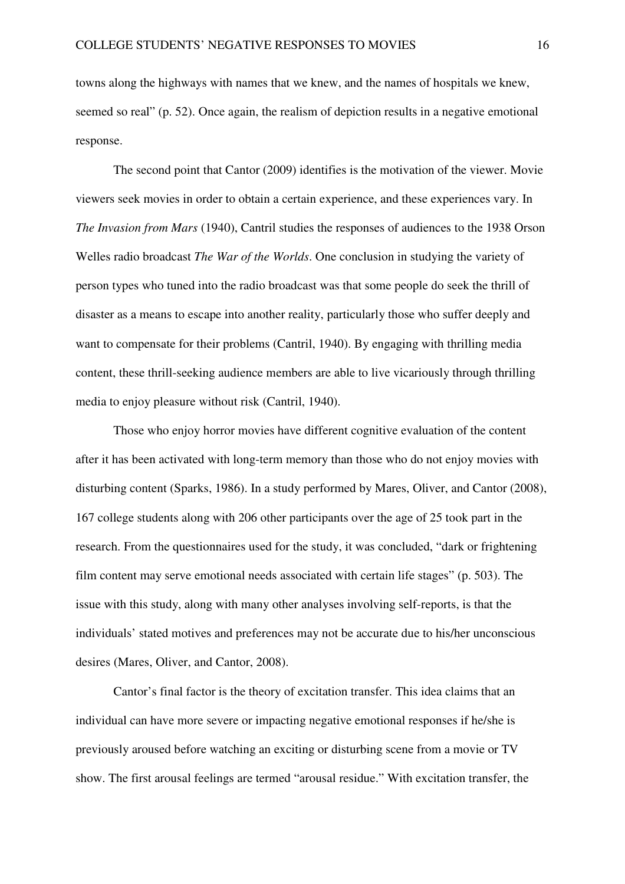towns along the highways with names that we knew, and the names of hospitals we knew, seemed so real" (p. 52). Once again, the realism of depiction results in a negative emotional response.

 The second point that Cantor (2009) identifies is the motivation of the viewer. Movie viewers seek movies in order to obtain a certain experience, and these experiences vary. In *The Invasion from Mars* (1940), Cantril studies the responses of audiences to the 1938 Orson Welles radio broadcast *The War of the Worlds*. One conclusion in studying the variety of person types who tuned into the radio broadcast was that some people do seek the thrill of disaster as a means to escape into another reality, particularly those who suffer deeply and want to compensate for their problems (Cantril, 1940). By engaging with thrilling media content, these thrill-seeking audience members are able to live vicariously through thrilling media to enjoy pleasure without risk (Cantril, 1940).

Those who enjoy horror movies have different cognitive evaluation of the content after it has been activated with long-term memory than those who do not enjoy movies with disturbing content (Sparks, 1986). In a study performed by Mares, Oliver, and Cantor (2008), 167 college students along with 206 other participants over the age of 25 took part in the research. From the questionnaires used for the study, it was concluded, "dark or frightening film content may serve emotional needs associated with certain life stages" (p. 503). The issue with this study, along with many other analyses involving self-reports, is that the individuals' stated motives and preferences may not be accurate due to his/her unconscious desires (Mares, Oliver, and Cantor, 2008).

 Cantor's final factor is the theory of excitation transfer. This idea claims that an individual can have more severe or impacting negative emotional responses if he/she is previously aroused before watching an exciting or disturbing scene from a movie or TV show. The first arousal feelings are termed "arousal residue." With excitation transfer, the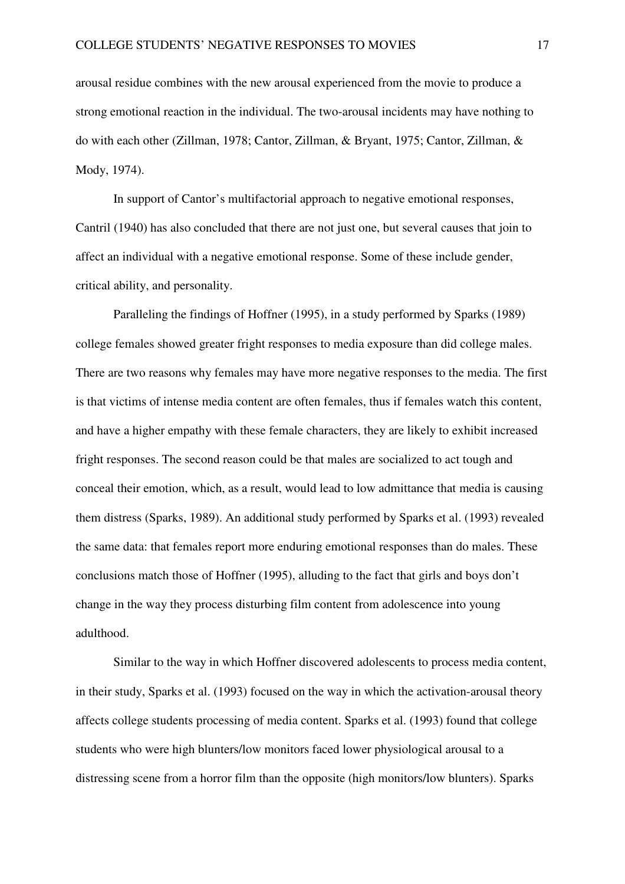arousal residue combines with the new arousal experienced from the movie to produce a strong emotional reaction in the individual. The two-arousal incidents may have nothing to do with each other (Zillman, 1978; Cantor, Zillman, & Bryant, 1975; Cantor, Zillman, & Mody, 1974).

In support of Cantor's multifactorial approach to negative emotional responses, Cantril (1940) has also concluded that there are not just one, but several causes that join to affect an individual with a negative emotional response. Some of these include gender, critical ability, and personality.

 Paralleling the findings of Hoffner (1995), in a study performed by Sparks (1989) college females showed greater fright responses to media exposure than did college males. There are two reasons why females may have more negative responses to the media. The first is that victims of intense media content are often females, thus if females watch this content, and have a higher empathy with these female characters, they are likely to exhibit increased fright responses. The second reason could be that males are socialized to act tough and conceal their emotion, which, as a result, would lead to low admittance that media is causing them distress (Sparks, 1989). An additional study performed by Sparks et al. (1993) revealed the same data: that females report more enduring emotional responses than do males. These conclusions match those of Hoffner (1995), alluding to the fact that girls and boys don't change in the way they process disturbing film content from adolescence into young adulthood.

Similar to the way in which Hoffner discovered adolescents to process media content, in their study, Sparks et al. (1993) focused on the way in which the activation-arousal theory affects college students processing of media content. Sparks et al. (1993) found that college students who were high blunters/low monitors faced lower physiological arousal to a distressing scene from a horror film than the opposite (high monitors/low blunters). Sparks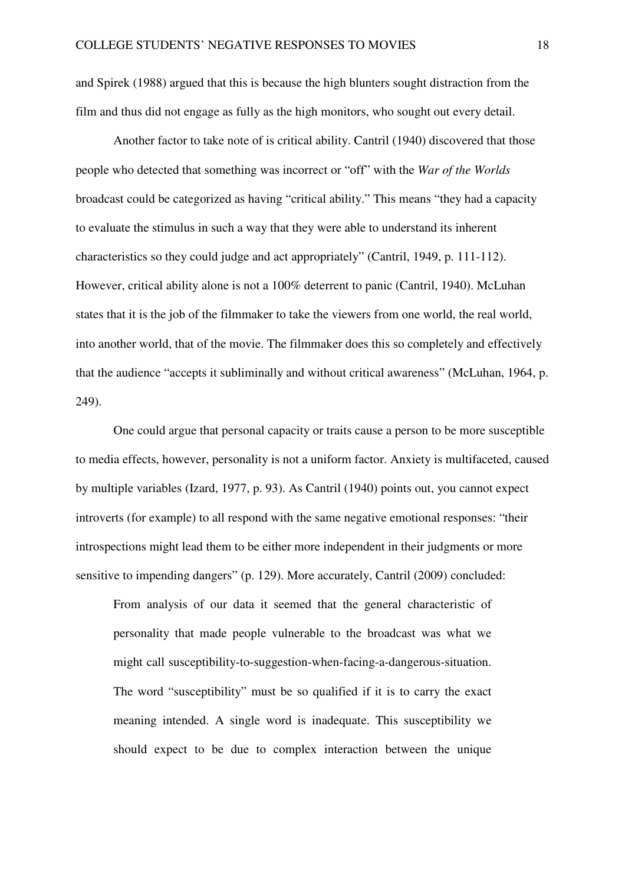and Spirek (1988) argued that this is because the high blunters sought distraction from the film and thus did not engage as fully as the high monitors, who sought out every detail.

 Another factor to take note of is critical ability. Cantril (1940) discovered that those people who detected that something was incorrect or "off" with the *War of the Worlds*  broadcast could be categorized as having "critical ability." This means "they had a capacity to evaluate the stimulus in such a way that they were able to understand its inherent characteristics so they could judge and act appropriately" (Cantril, 1949, p. 111-112). However, critical ability alone is not a 100% deterrent to panic (Cantril, 1940). McLuhan states that it is the job of the filmmaker to take the viewers from one world, the real world, into another world, that of the movie. The filmmaker does this so completely and effectively that the audience "accepts it subliminally and without critical awareness" (McLuhan, 1964, p. 249).

 One could argue that personal capacity or traits cause a person to be more susceptible to media effects, however, personality is not a uniform factor. Anxiety is multifaceted, caused by multiple variables (Izard, 1977, p. 93). As Cantril (1940) points out, you cannot expect introverts (for example) to all respond with the same negative emotional responses: "their introspections might lead them to be either more independent in their judgments or more sensitive to impending dangers" (p. 129). More accurately, Cantril (2009) concluded:

From analysis of our data it seemed that the general characteristic of personality that made people vulnerable to the broadcast was what we might call susceptibility-to-suggestion-when-facing-a-dangerous-situation. The word "susceptibility" must be so qualified if it is to carry the exact meaning intended. A single word is inadequate. This susceptibility we should expect to be due to complex interaction between the unique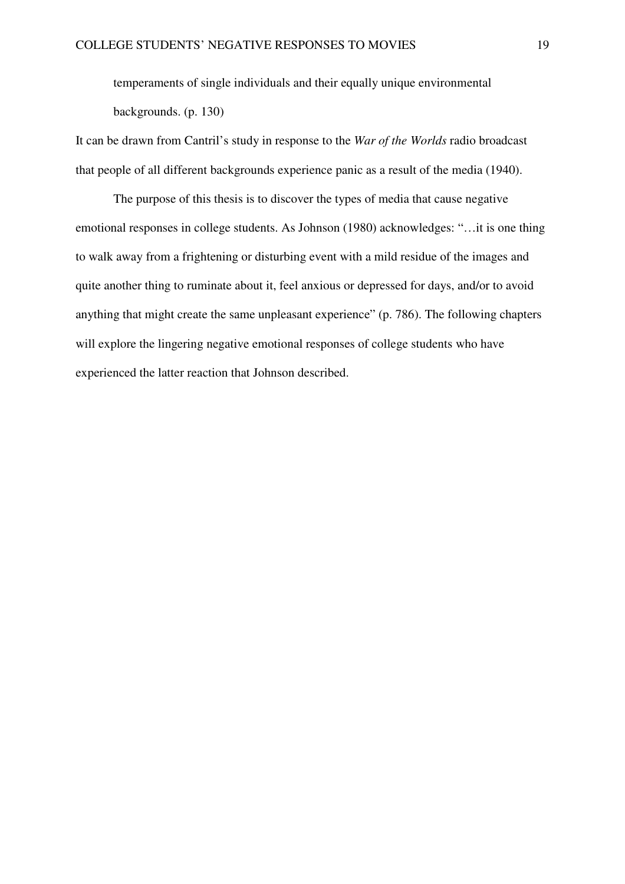temperaments of single individuals and their equally unique environmental backgrounds. (p. 130)

It can be drawn from Cantril's study in response to the *War of the Worlds* radio broadcast that people of all different backgrounds experience panic as a result of the media (1940).

The purpose of this thesis is to discover the types of media that cause negative emotional responses in college students. As Johnson (1980) acknowledges: "…it is one thing to walk away from a frightening or disturbing event with a mild residue of the images and quite another thing to ruminate about it, feel anxious or depressed for days, and/or to avoid anything that might create the same unpleasant experience" (p. 786). The following chapters will explore the lingering negative emotional responses of college students who have experienced the latter reaction that Johnson described.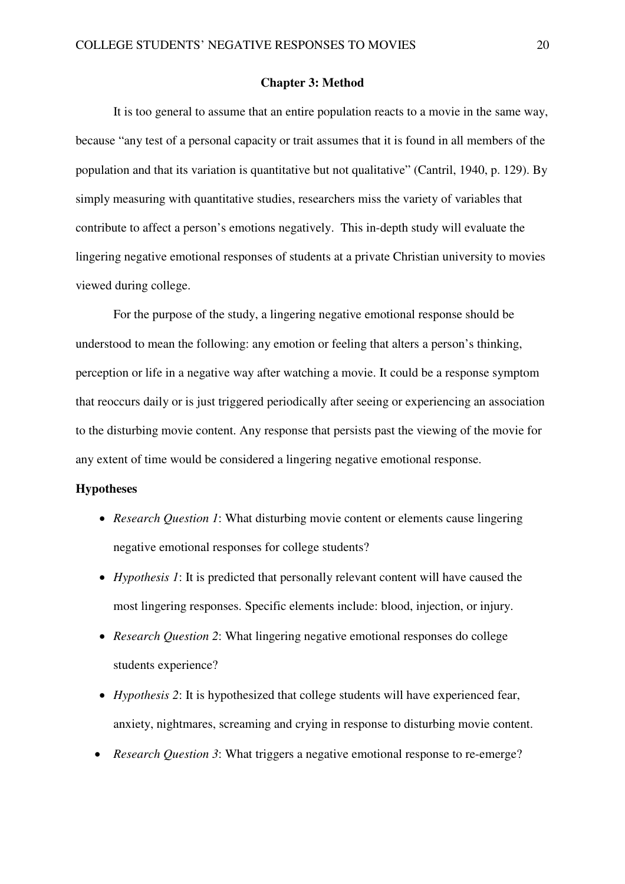#### **Chapter 3: Method**

It is too general to assume that an entire population reacts to a movie in the same way, because "any test of a personal capacity or trait assumes that it is found in all members of the population and that its variation is quantitative but not qualitative" (Cantril, 1940, p. 129). By simply measuring with quantitative studies, researchers miss the variety of variables that contribute to affect a person's emotions negatively. This in-depth study will evaluate the lingering negative emotional responses of students at a private Christian university to movies viewed during college.

For the purpose of the study, a lingering negative emotional response should be understood to mean the following: any emotion or feeling that alters a person's thinking, perception or life in a negative way after watching a movie. It could be a response symptom that reoccurs daily or is just triggered periodically after seeing or experiencing an association to the disturbing movie content. Any response that persists past the viewing of the movie for any extent of time would be considered a lingering negative emotional response.

## **Hypotheses**

- *Research Question 1*: What disturbing movie content or elements cause lingering negative emotional responses for college students?
- *Hypothesis 1*: It is predicted that personally relevant content will have caused the most lingering responses. Specific elements include: blood, injection, or injury.
- *Research Question 2*: What lingering negative emotional responses do college students experience?
- *Hypothesis 2*: It is hypothesized that college students will have experienced fear, anxiety, nightmares, screaming and crying in response to disturbing movie content.
- *Research Question 3*: What triggers a negative emotional response to re-emerge?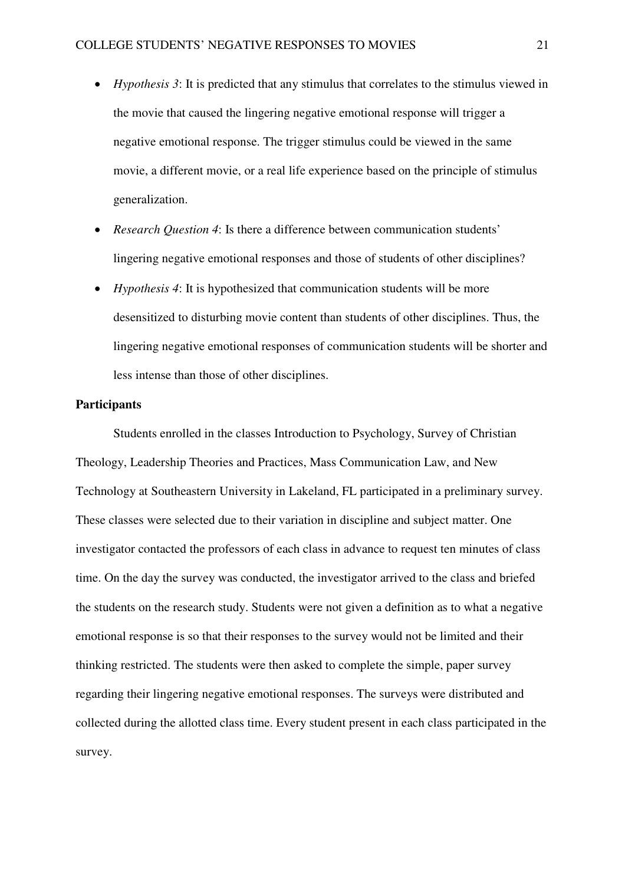- *Hypothesis 3*: It is predicted that any stimulus that correlates to the stimulus viewed in the movie that caused the lingering negative emotional response will trigger a negative emotional response. The trigger stimulus could be viewed in the same movie, a different movie, or a real life experience based on the principle of stimulus generalization.
- *Research Question 4*: Is there a difference between communication students' lingering negative emotional responses and those of students of other disciplines?
- *Hypothesis 4*: It is hypothesized that communication students will be more desensitized to disturbing movie content than students of other disciplines. Thus, the lingering negative emotional responses of communication students will be shorter and less intense than those of other disciplines.

#### **Participants**

Students enrolled in the classes Introduction to Psychology, Survey of Christian Theology, Leadership Theories and Practices, Mass Communication Law, and New Technology at Southeastern University in Lakeland, FL participated in a preliminary survey. These classes were selected due to their variation in discipline and subject matter. One investigator contacted the professors of each class in advance to request ten minutes of class time. On the day the survey was conducted, the investigator arrived to the class and briefed the students on the research study. Students were not given a definition as to what a negative emotional response is so that their responses to the survey would not be limited and their thinking restricted. The students were then asked to complete the simple, paper survey regarding their lingering negative emotional responses. The surveys were distributed and collected during the allotted class time. Every student present in each class participated in the survey.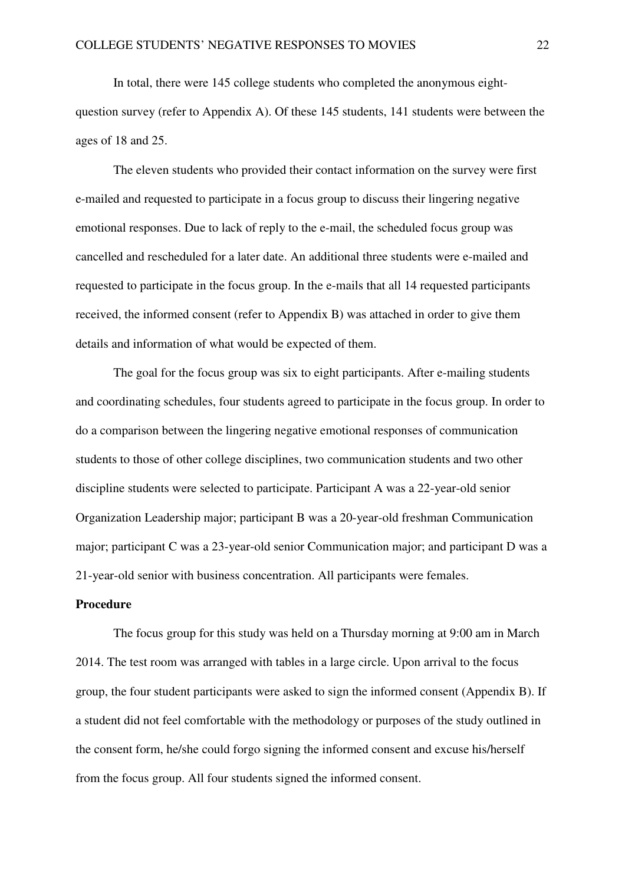In total, there were 145 college students who completed the anonymous eightquestion survey (refer to Appendix A). Of these 145 students, 141 students were between the ages of 18 and 25.

The eleven students who provided their contact information on the survey were first e-mailed and requested to participate in a focus group to discuss their lingering negative emotional responses. Due to lack of reply to the e-mail, the scheduled focus group was cancelled and rescheduled for a later date. An additional three students were e-mailed and requested to participate in the focus group. In the e-mails that all 14 requested participants received, the informed consent (refer to Appendix B) was attached in order to give them details and information of what would be expected of them.

 The goal for the focus group was six to eight participants. After e-mailing students and coordinating schedules, four students agreed to participate in the focus group. In order to do a comparison between the lingering negative emotional responses of communication students to those of other college disciplines, two communication students and two other discipline students were selected to participate. Participant A was a 22-year-old senior Organization Leadership major; participant B was a 20-year-old freshman Communication major; participant C was a 23-year-old senior Communication major; and participant D was a 21-year-old senior with business concentration. All participants were females.

## **Procedure**

The focus group for this study was held on a Thursday morning at 9:00 am in March 2014. The test room was arranged with tables in a large circle. Upon arrival to the focus group, the four student participants were asked to sign the informed consent (Appendix B). If a student did not feel comfortable with the methodology or purposes of the study outlined in the consent form, he/she could forgo signing the informed consent and excuse his/herself from the focus group. All four students signed the informed consent.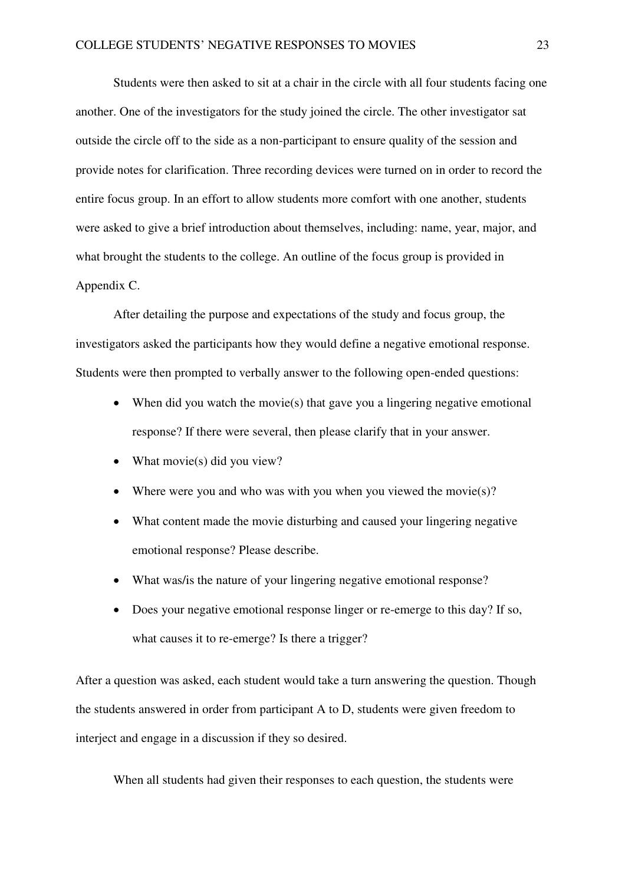Students were then asked to sit at a chair in the circle with all four students facing one another. One of the investigators for the study joined the circle. The other investigator sat outside the circle off to the side as a non-participant to ensure quality of the session and provide notes for clarification. Three recording devices were turned on in order to record the entire focus group. In an effort to allow students more comfort with one another, students were asked to give a brief introduction about themselves, including: name, year, major, and what brought the students to the college. An outline of the focus group is provided in Appendix C.

After detailing the purpose and expectations of the study and focus group, the investigators asked the participants how they would define a negative emotional response. Students were then prompted to verbally answer to the following open-ended questions:

- When did you watch the movie(s) that gave you a lingering negative emotional response? If there were several, then please clarify that in your answer.
- What movie(s) did you view?
- Where were you and who was with you when you viewed the movie(s)?
- What content made the movie disturbing and caused your lingering negative emotional response? Please describe.
- What was/is the nature of your lingering negative emotional response?
- Does your negative emotional response linger or re-emerge to this day? If so, what causes it to re-emerge? Is there a trigger?

After a question was asked, each student would take a turn answering the question. Though the students answered in order from participant A to D, students were given freedom to interject and engage in a discussion if they so desired.

When all students had given their responses to each question, the students were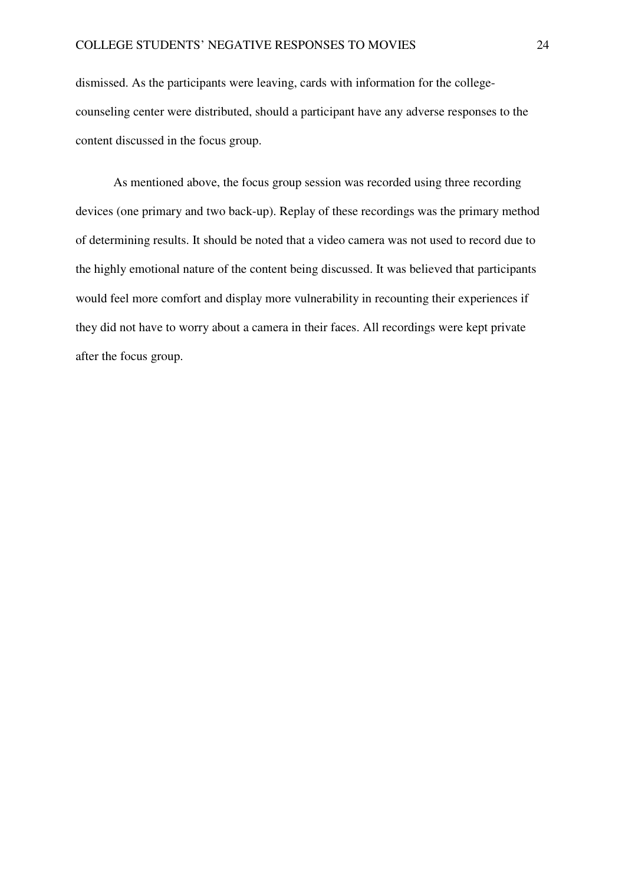dismissed. As the participants were leaving, cards with information for the collegecounseling center were distributed, should a participant have any adverse responses to the content discussed in the focus group.

As mentioned above, the focus group session was recorded using three recording devices (one primary and two back-up). Replay of these recordings was the primary method of determining results. It should be noted that a video camera was not used to record due to the highly emotional nature of the content being discussed. It was believed that participants would feel more comfort and display more vulnerability in recounting their experiences if they did not have to worry about a camera in their faces. All recordings were kept private after the focus group.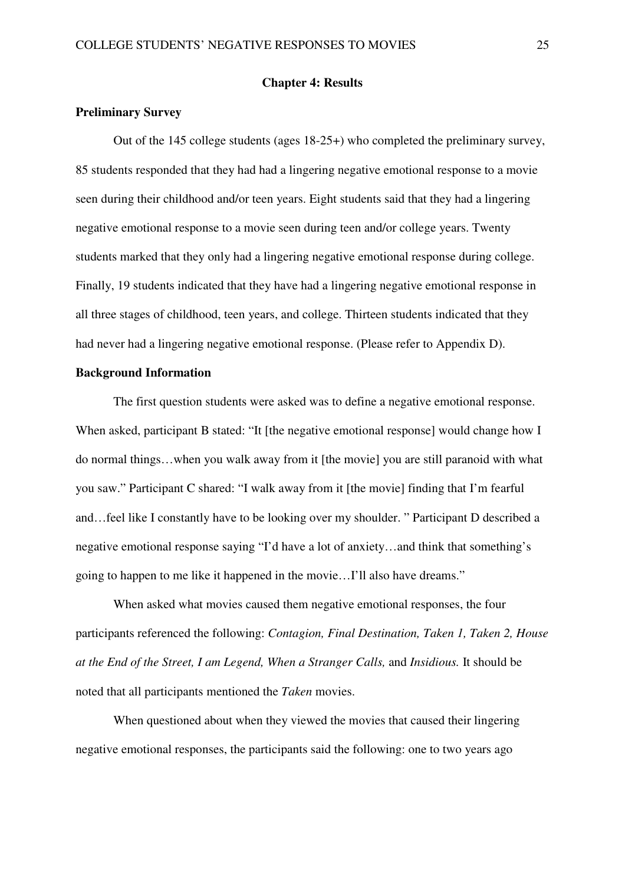#### **Chapter 4: Results**

## **Preliminary Survey**

Out of the 145 college students (ages 18-25+) who completed the preliminary survey, 85 students responded that they had had a lingering negative emotional response to a movie seen during their childhood and/or teen years. Eight students said that they had a lingering negative emotional response to a movie seen during teen and/or college years. Twenty students marked that they only had a lingering negative emotional response during college. Finally, 19 students indicated that they have had a lingering negative emotional response in all three stages of childhood, teen years, and college. Thirteen students indicated that they had never had a lingering negative emotional response. (Please refer to Appendix D).

## **Background Information**

The first question students were asked was to define a negative emotional response. When asked, participant B stated: "It [the negative emotional response] would change how I do normal things…when you walk away from it [the movie] you are still paranoid with what you saw." Participant C shared: "I walk away from it [the movie] finding that I'm fearful and…feel like I constantly have to be looking over my shoulder. " Participant D described a negative emotional response saying "I'd have a lot of anxiety…and think that something's going to happen to me like it happened in the movie…I'll also have dreams."

When asked what movies caused them negative emotional responses, the four participants referenced the following: *Contagion, Final Destination, Taken 1, Taken 2, House at the End of the Street, I am Legend, When a Stranger Calls,* and *Insidious.* It should be noted that all participants mentioned the *Taken* movies.

When questioned about when they viewed the movies that caused their lingering negative emotional responses, the participants said the following: one to two years ago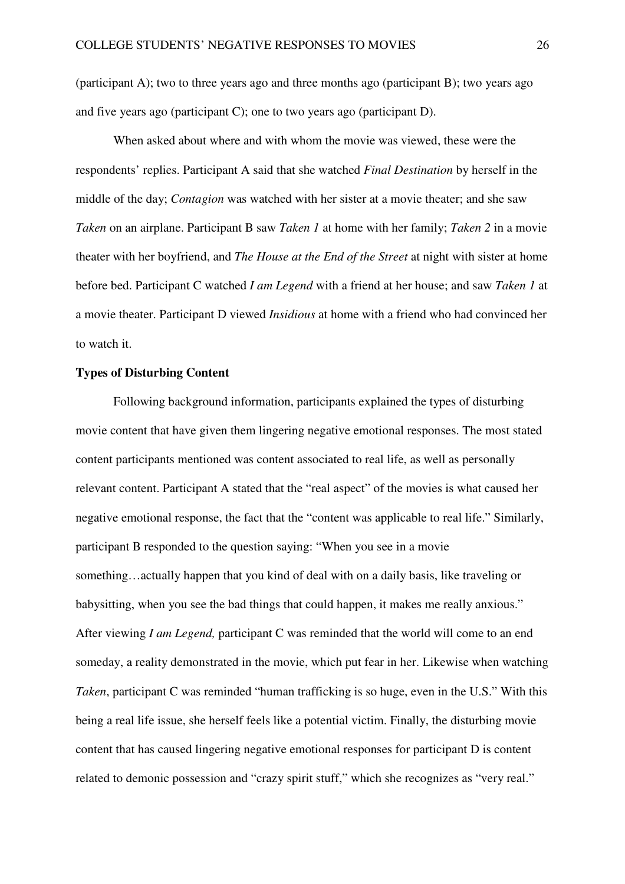(participant A); two to three years ago and three months ago (participant B); two years ago and five years ago (participant C); one to two years ago (participant D).

When asked about where and with whom the movie was viewed, these were the respondents' replies. Participant A said that she watched *Final Destination* by herself in the middle of the day; *Contagion* was watched with her sister at a movie theater; and she saw *Taken* on an airplane. Participant B saw *Taken 1* at home with her family; *Taken 2* in a movie theater with her boyfriend, and *The House at the End of the Street* at night with sister at home before bed. Participant C watched *I am Legend* with a friend at her house; and saw *Taken 1* at a movie theater. Participant D viewed *Insidious* at home with a friend who had convinced her to watch it.

## **Types of Disturbing Content**

Following background information, participants explained the types of disturbing movie content that have given them lingering negative emotional responses. The most stated content participants mentioned was content associated to real life, as well as personally relevant content. Participant A stated that the "real aspect" of the movies is what caused her negative emotional response, the fact that the "content was applicable to real life." Similarly, participant B responded to the question saying: "When you see in a movie something…actually happen that you kind of deal with on a daily basis, like traveling or babysitting, when you see the bad things that could happen, it makes me really anxious." After viewing *I am Legend,* participant C was reminded that the world will come to an end someday, a reality demonstrated in the movie, which put fear in her. Likewise when watching *Taken*, participant C was reminded "human trafficking is so huge, even in the U.S." With this being a real life issue, she herself feels like a potential victim. Finally, the disturbing movie content that has caused lingering negative emotional responses for participant D is content related to demonic possession and "crazy spirit stuff," which she recognizes as "very real."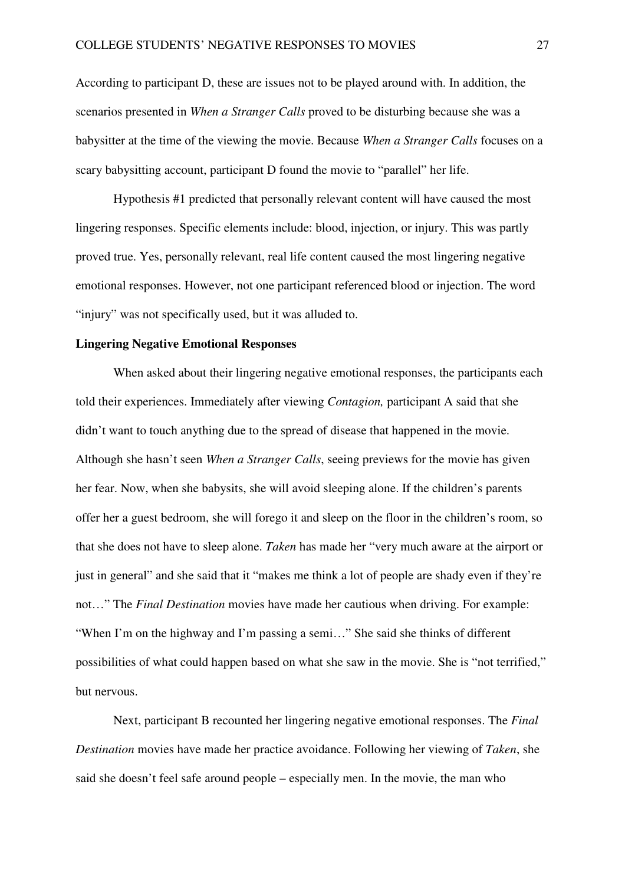According to participant D, these are issues not to be played around with. In addition, the scenarios presented in *When a Stranger Calls* proved to be disturbing because she was a babysitter at the time of the viewing the movie. Because *When a Stranger Calls* focuses on a scary babysitting account, participant D found the movie to "parallel" her life.

Hypothesis #1 predicted that personally relevant content will have caused the most lingering responses. Specific elements include: blood, injection, or injury. This was partly proved true. Yes, personally relevant, real life content caused the most lingering negative emotional responses. However, not one participant referenced blood or injection. The word "injury" was not specifically used, but it was alluded to.

## **Lingering Negative Emotional Responses**

 When asked about their lingering negative emotional responses, the participants each told their experiences. Immediately after viewing *Contagion,* participant A said that she didn't want to touch anything due to the spread of disease that happened in the movie. Although she hasn't seen *When a Stranger Calls*, seeing previews for the movie has given her fear. Now, when she babysits, she will avoid sleeping alone. If the children's parents offer her a guest bedroom, she will forego it and sleep on the floor in the children's room, so that she does not have to sleep alone. *Taken* has made her "very much aware at the airport or just in general" and she said that it "makes me think a lot of people are shady even if they're not…" The *Final Destination* movies have made her cautious when driving. For example: "When I'm on the highway and I'm passing a semi…" She said she thinks of different possibilities of what could happen based on what she saw in the movie. She is "not terrified," but nervous.

 Next, participant B recounted her lingering negative emotional responses. The *Final Destination* movies have made her practice avoidance. Following her viewing of *Taken*, she said she doesn't feel safe around people – especially men. In the movie, the man who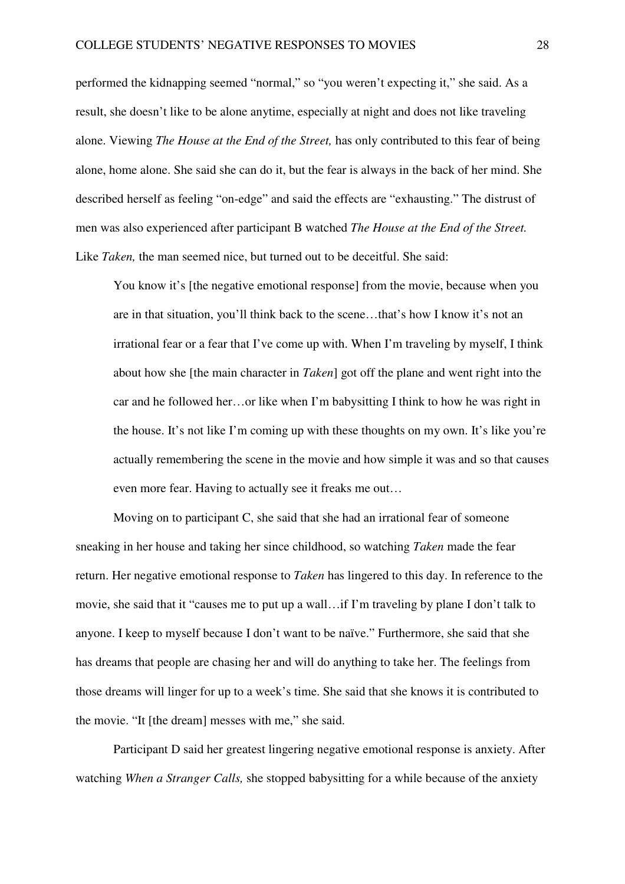performed the kidnapping seemed "normal," so "you weren't expecting it," she said. As a result, she doesn't like to be alone anytime, especially at night and does not like traveling alone. Viewing *The House at the End of the Street,* has only contributed to this fear of being alone, home alone. She said she can do it, but the fear is always in the back of her mind. She described herself as feeling "on-edge" and said the effects are "exhausting." The distrust of men was also experienced after participant B watched *The House at the End of the Street.*  Like *Taken*, the man seemed nice, but turned out to be deceitful. She said:

You know it's [the negative emotional response] from the movie, because when you are in that situation, you'll think back to the scene…that's how I know it's not an irrational fear or a fear that I've come up with. When I'm traveling by myself, I think about how she [the main character in *Taken*] got off the plane and went right into the car and he followed her…or like when I'm babysitting I think to how he was right in the house. It's not like I'm coming up with these thoughts on my own. It's like you're actually remembering the scene in the movie and how simple it was and so that causes even more fear. Having to actually see it freaks me out…

 Moving on to participant C, she said that she had an irrational fear of someone sneaking in her house and taking her since childhood, so watching *Taken* made the fear return. Her negative emotional response to *Taken* has lingered to this day. In reference to the movie, she said that it "causes me to put up a wall…if I'm traveling by plane I don't talk to anyone. I keep to myself because I don't want to be naïve." Furthermore, she said that she has dreams that people are chasing her and will do anything to take her. The feelings from those dreams will linger for up to a week's time. She said that she knows it is contributed to the movie. "It [the dream] messes with me," she said.

 Participant D said her greatest lingering negative emotional response is anxiety. After watching *When a Stranger Calls,* she stopped babysitting for a while because of the anxiety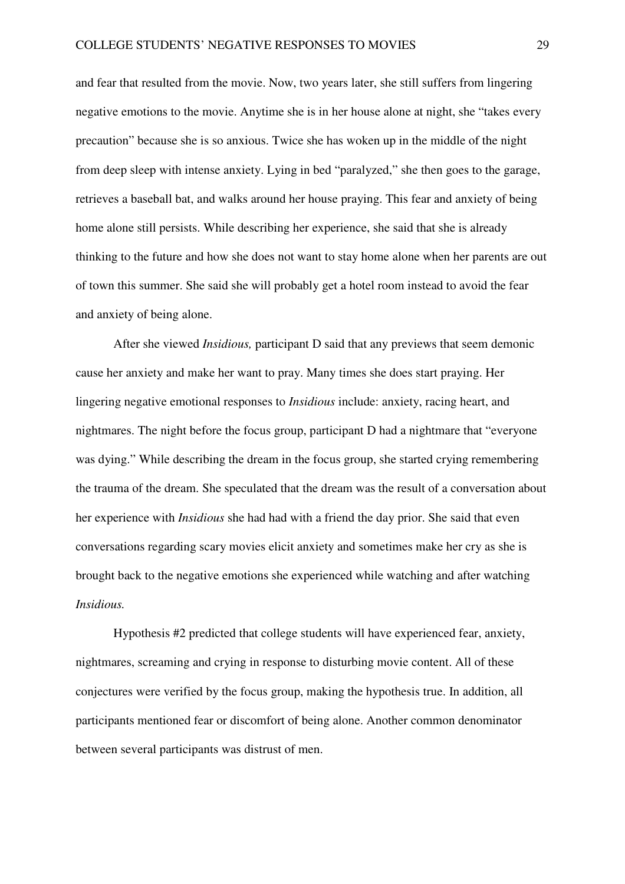and fear that resulted from the movie. Now, two years later, she still suffers from lingering negative emotions to the movie. Anytime she is in her house alone at night, she "takes every precaution" because she is so anxious. Twice she has woken up in the middle of the night from deep sleep with intense anxiety. Lying in bed "paralyzed," she then goes to the garage, retrieves a baseball bat, and walks around her house praying. This fear and anxiety of being home alone still persists. While describing her experience, she said that she is already thinking to the future and how she does not want to stay home alone when her parents are out of town this summer. She said she will probably get a hotel room instead to avoid the fear and anxiety of being alone.

After she viewed *Insidious,* participant D said that any previews that seem demonic cause her anxiety and make her want to pray. Many times she does start praying. Her lingering negative emotional responses to *Insidious* include: anxiety, racing heart, and nightmares. The night before the focus group, participant D had a nightmare that "everyone was dying." While describing the dream in the focus group, she started crying remembering the trauma of the dream. She speculated that the dream was the result of a conversation about her experience with *Insidious* she had had with a friend the day prior. She said that even conversations regarding scary movies elicit anxiety and sometimes make her cry as she is brought back to the negative emotions she experienced while watching and after watching *Insidious.* 

Hypothesis #2 predicted that college students will have experienced fear, anxiety, nightmares, screaming and crying in response to disturbing movie content. All of these conjectures were verified by the focus group, making the hypothesis true. In addition, all participants mentioned fear or discomfort of being alone. Another common denominator between several participants was distrust of men.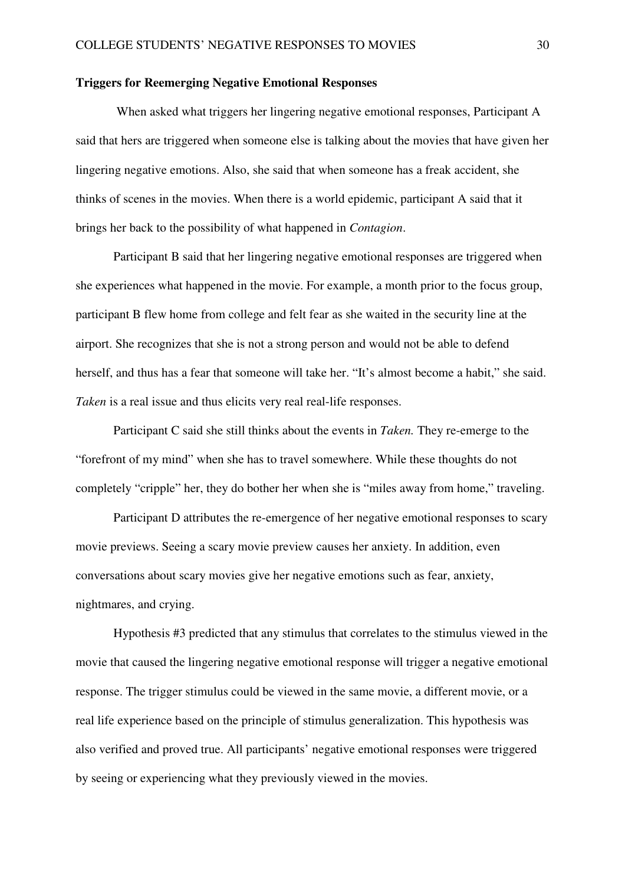## **Triggers for Reemerging Negative Emotional Responses**

 When asked what triggers her lingering negative emotional responses, Participant A said that hers are triggered when someone else is talking about the movies that have given her lingering negative emotions. Also, she said that when someone has a freak accident, she thinks of scenes in the movies. When there is a world epidemic, participant A said that it brings her back to the possibility of what happened in *Contagion*.

 Participant B said that her lingering negative emotional responses are triggered when she experiences what happened in the movie. For example, a month prior to the focus group, participant B flew home from college and felt fear as she waited in the security line at the airport. She recognizes that she is not a strong person and would not be able to defend herself, and thus has a fear that someone will take her. "It's almost become a habit," she said. *Taken* is a real issue and thus elicits very real real-life responses.

 Participant C said she still thinks about the events in *Taken.* They re-emerge to the "forefront of my mind" when she has to travel somewhere. While these thoughts do not completely "cripple" her, they do bother her when she is "miles away from home," traveling.

 Participant D attributes the re-emergence of her negative emotional responses to scary movie previews. Seeing a scary movie preview causes her anxiety. In addition, even conversations about scary movies give her negative emotions such as fear, anxiety, nightmares, and crying.

Hypothesis #3 predicted that any stimulus that correlates to the stimulus viewed in the movie that caused the lingering negative emotional response will trigger a negative emotional response. The trigger stimulus could be viewed in the same movie, a different movie, or a real life experience based on the principle of stimulus generalization. This hypothesis was also verified and proved true. All participants' negative emotional responses were triggered by seeing or experiencing what they previously viewed in the movies.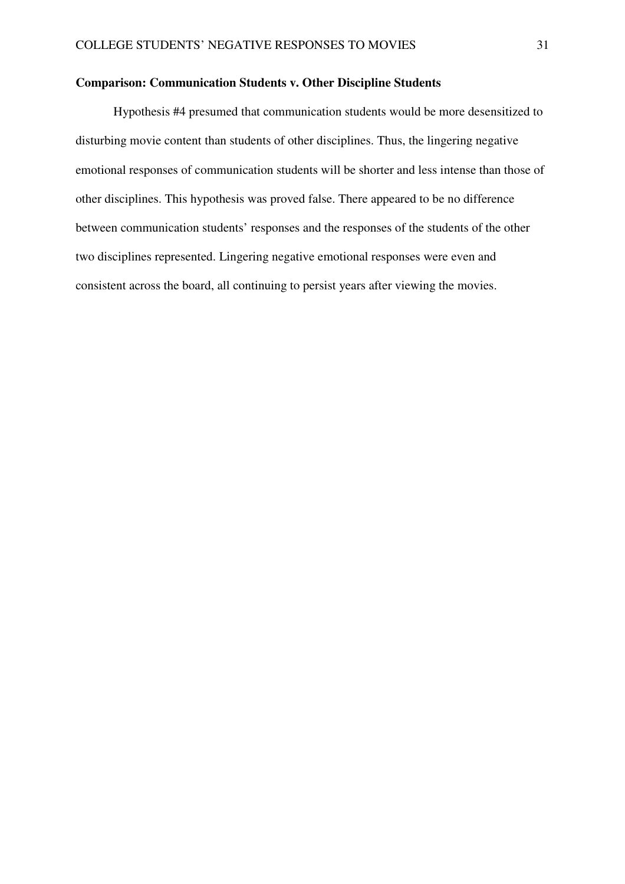## **Comparison: Communication Students v. Other Discipline Students**

Hypothesis #4 presumed that communication students would be more desensitized to disturbing movie content than students of other disciplines. Thus, the lingering negative emotional responses of communication students will be shorter and less intense than those of other disciplines. This hypothesis was proved false. There appeared to be no difference between communication students' responses and the responses of the students of the other two disciplines represented. Lingering negative emotional responses were even and consistent across the board, all continuing to persist years after viewing the movies.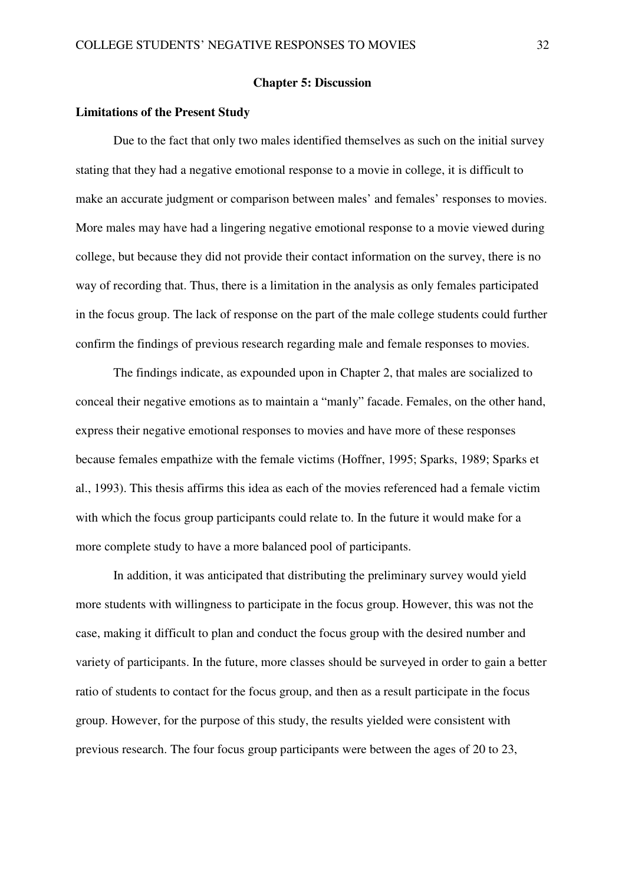#### **Chapter 5: Discussion**

#### **Limitations of the Present Study**

Due to the fact that only two males identified themselves as such on the initial survey stating that they had a negative emotional response to a movie in college, it is difficult to make an accurate judgment or comparison between males' and females' responses to movies. More males may have had a lingering negative emotional response to a movie viewed during college, but because they did not provide their contact information on the survey, there is no way of recording that. Thus, there is a limitation in the analysis as only females participated in the focus group. The lack of response on the part of the male college students could further confirm the findings of previous research regarding male and female responses to movies.

The findings indicate, as expounded upon in Chapter 2, that males are socialized to conceal their negative emotions as to maintain a "manly" facade. Females, on the other hand, express their negative emotional responses to movies and have more of these responses because females empathize with the female victims (Hoffner, 1995; Sparks, 1989; Sparks et al., 1993). This thesis affirms this idea as each of the movies referenced had a female victim with which the focus group participants could relate to. In the future it would make for a more complete study to have a more balanced pool of participants.

In addition, it was anticipated that distributing the preliminary survey would yield more students with willingness to participate in the focus group. However, this was not the case, making it difficult to plan and conduct the focus group with the desired number and variety of participants. In the future, more classes should be surveyed in order to gain a better ratio of students to contact for the focus group, and then as a result participate in the focus group. However, for the purpose of this study, the results yielded were consistent with previous research. The four focus group participants were between the ages of 20 to 23,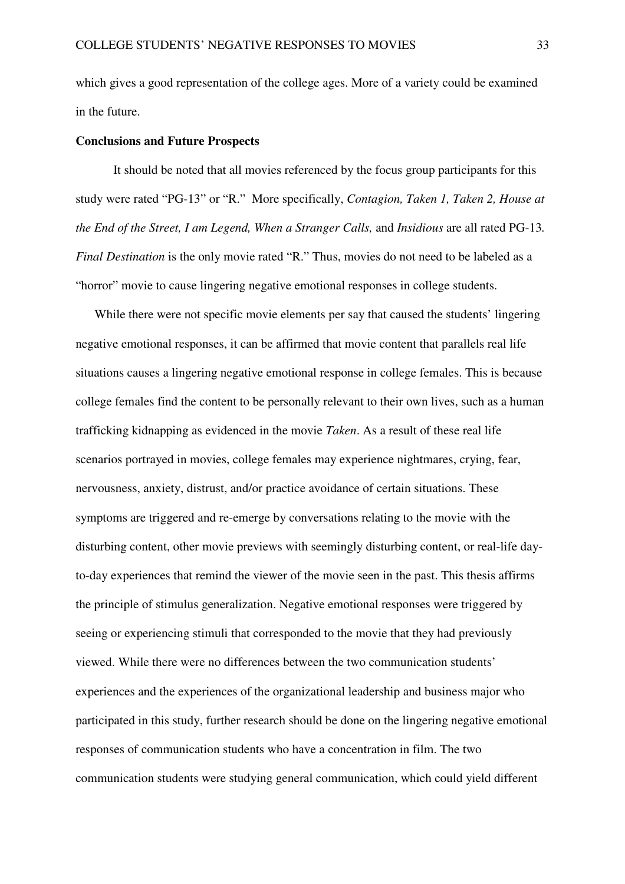which gives a good representation of the college ages. More of a variety could be examined in the future.

#### **Conclusions and Future Prospects**

It should be noted that all movies referenced by the focus group participants for this study were rated "PG-13" or "R." More specifically, *Contagion, Taken 1, Taken 2, House at the End of the Street, I am Legend, When a Stranger Calls,* and *Insidious* are all rated PG-13*. Final Destination* is the only movie rated "R." Thus, movies do not need to be labeled as a "horror" movie to cause lingering negative emotional responses in college students.

While there were not specific movie elements per say that caused the students' lingering negative emotional responses, it can be affirmed that movie content that parallels real life situations causes a lingering negative emotional response in college females. This is because college females find the content to be personally relevant to their own lives, such as a human trafficking kidnapping as evidenced in the movie *Taken*. As a result of these real life scenarios portrayed in movies, college females may experience nightmares, crying, fear, nervousness, anxiety, distrust, and/or practice avoidance of certain situations. These symptoms are triggered and re-emerge by conversations relating to the movie with the disturbing content, other movie previews with seemingly disturbing content, or real-life dayto-day experiences that remind the viewer of the movie seen in the past. This thesis affirms the principle of stimulus generalization. Negative emotional responses were triggered by seeing or experiencing stimuli that corresponded to the movie that they had previously viewed. While there were no differences between the two communication students' experiences and the experiences of the organizational leadership and business major who participated in this study, further research should be done on the lingering negative emotional responses of communication students who have a concentration in film. The two communication students were studying general communication, which could yield different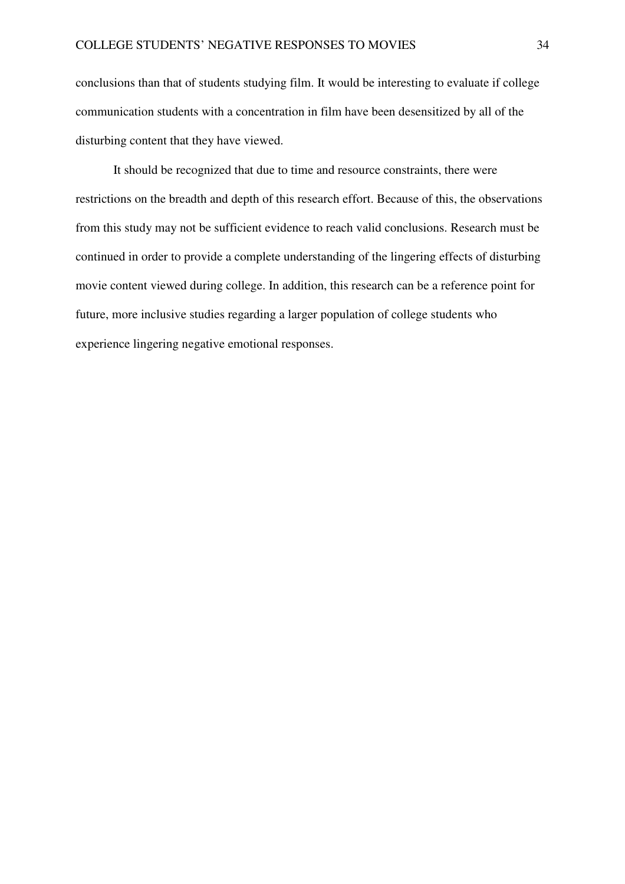conclusions than that of students studying film. It would be interesting to evaluate if college communication students with a concentration in film have been desensitized by all of the disturbing content that they have viewed.

It should be recognized that due to time and resource constraints, there were restrictions on the breadth and depth of this research effort. Because of this, the observations from this study may not be sufficient evidence to reach valid conclusions. Research must be continued in order to provide a complete understanding of the lingering effects of disturbing movie content viewed during college. In addition, this research can be a reference point for future, more inclusive studies regarding a larger population of college students who experience lingering negative emotional responses.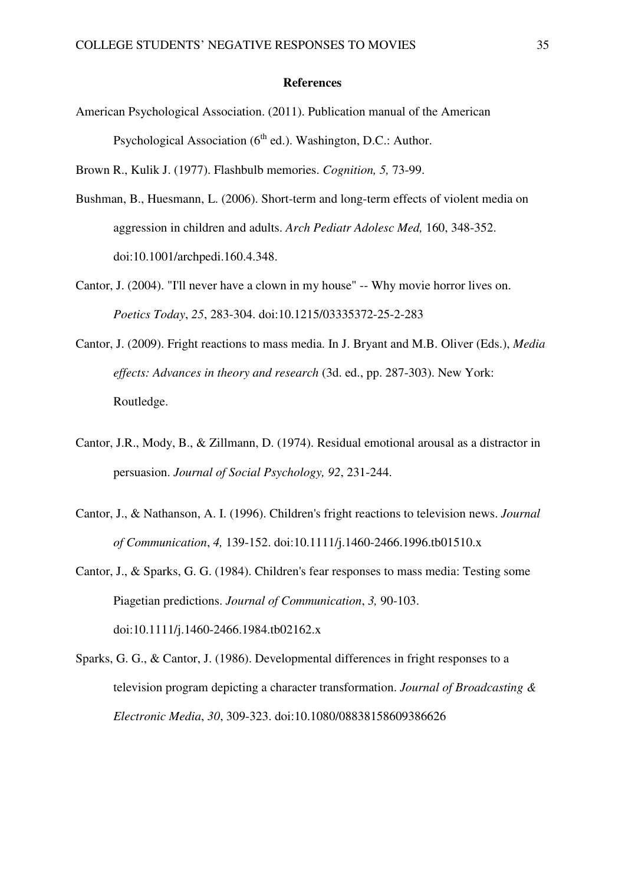#### **References**

American Psychological Association. (2011). Publication manual of the American Psychological Association  $(6<sup>th</sup>$  ed.). Washington, D.C.: Author.

Brown R., Kulik J. (1977). Flashbulb memories. *Cognition, 5,* 73-99.

- Bushman, B., Huesmann, L. (2006). Short-term and long-term effects of violent media on aggression in children and adults. *Arch Pediatr Adolesc Med,* 160, 348-352. doi:10.1001/archpedi.160.4.348.
- Cantor, J. (2004). "I'll never have a clown in my house" -- Why movie horror lives on. *Poetics Today*, *25*, 283-304. doi:10.1215/03335372-25-2-283
- Cantor, J. (2009). Fright reactions to mass media. In J. Bryant and M.B. Oliver (Eds.), *Media effects: Advances in theory and research* (3d. ed., pp. 287-303). New York: Routledge.
- Cantor, J.R., Mody, B., & Zillmann, D. (1974). Residual emotional arousal as a distractor in persuasion. *Journal of Social Psychology, 92*, 231-244.
- Cantor, J., & Nathanson, A. I. (1996). Children's fright reactions to television news. *Journal of Communication*, *4,* 139-152. doi:10.1111/j.1460-2466.1996.tb01510.x
- Cantor, J., & Sparks, G. G. (1984). Children's fear responses to mass media: Testing some Piagetian predictions. *Journal of Communication*, *3,* 90-103. doi:10.1111/j.1460-2466.1984.tb02162.x
- Sparks, G. G., & Cantor, J. (1986). Developmental differences in fright responses to a television program depicting a character transformation. *Journal of Broadcasting & Electronic Media*, *30*, 309-323. doi:10.1080/08838158609386626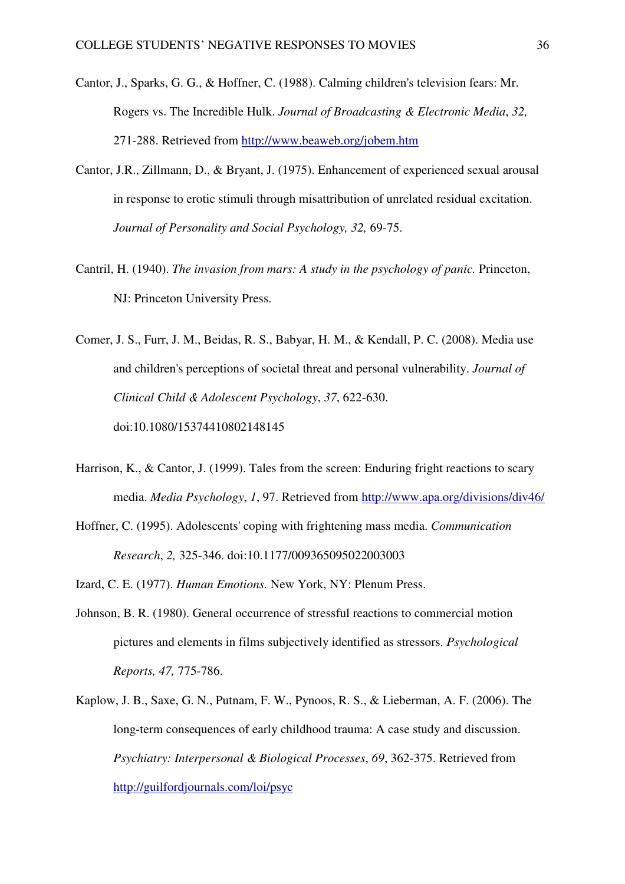- Cantor, J., Sparks, G. G., & Hoffner, C. (1988). Calming children's television fears: Mr. Rogers vs. The Incredible Hulk. *Journal of Broadcasting & Electronic Media*, *32,*  271-288. Retrieved from http://www.beaweb.org/jobem.htm
- Cantor, J.R., Zillmann, D., & Bryant, J. (1975). Enhancement of experienced sexual arousal in response to erotic stimuli through misattribution of unrelated residual excitation. *Journal of Personality and Social Psychology, 32,* 69-75.
- Cantril, H. (1940). *The invasion from mars: A study in the psychology of panic.* Princeton, NJ: Princeton University Press.
- Comer, J. S., Furr, J. M., Beidas, R. S., Babyar, H. M., & Kendall, P. C. (2008). Media use and children's perceptions of societal threat and personal vulnerability. *Journal of Clinical Child & Adolescent Psychology*, *37*, 622-630. doi:10.1080/15374410802148145
- Harrison, K., & Cantor, J. (1999). Tales from the screen: Enduring fright reactions to scary media. *Media Psychology*, *1*, 97. Retrieved from http://www.apa.org/divisions/div46/
- Hoffner, C. (1995). Adolescents' coping with frightening mass media. *Communication Research*, *2,* 325-346. doi:10.1177/009365095022003003
- Izard, C. E. (1977). *Human Emotions.* New York, NY: Plenum Press.
- Johnson, B. R. (1980). General occurrence of stressful reactions to commercial motion pictures and elements in films subjectively identified as stressors. *Psychological Reports, 47,* 775-786.
- Kaplow, J. B., Saxe, G. N., Putnam, F. W., Pynoos, R. S., & Lieberman, A. F. (2006). The long-term consequences of early childhood trauma: A case study and discussion. *Psychiatry: Interpersonal & Biological Processes*, *69*, 362-375. Retrieved from http://guilfordjournals.com/loi/psyc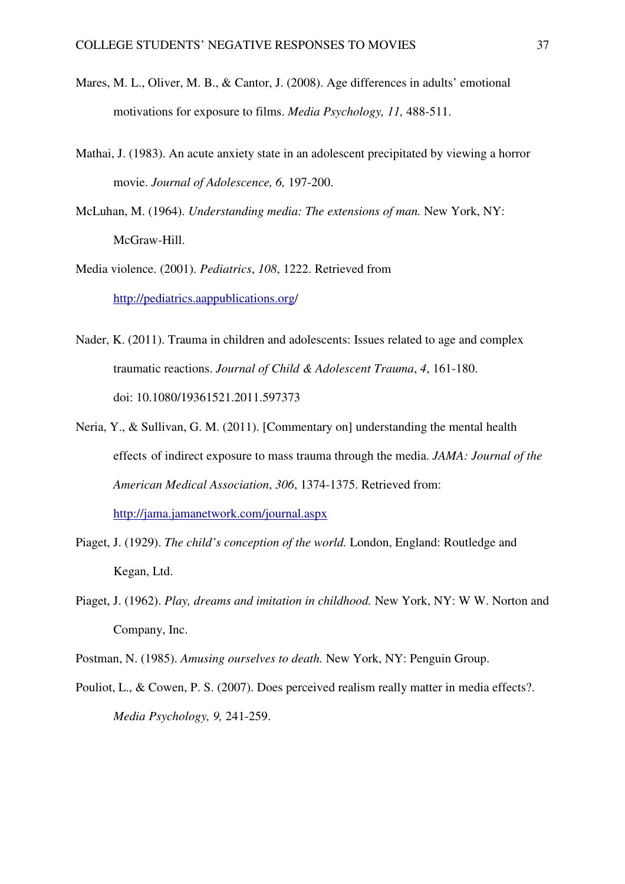- Mares, M. L., Oliver, M. B., & Cantor, J. (2008). Age differences in adults' emotional motivations for exposure to films. *Media Psychology, 11,* 488-511.
- Mathai, J. (1983). An acute anxiety state in an adolescent precipitated by viewing a horror movie. *Journal of Adolescence, 6,* 197-200.
- McLuhan, M. (1964). *Understanding media: The extensions of man.* New York, NY: McGraw-Hill.
- Media violence. (2001). *Pediatrics*, *108*, 1222. Retrieved from http://pediatrics.aappublications.org/
- Nader, K. (2011). Trauma in children and adolescents: Issues related to age and complex traumatic reactions. *Journal of Child & Adolescent Trauma*, *4*, 161-180. doi: 10.1080/19361521.2011.597373
- Neria, Y., & Sullivan, G. M. (2011). [Commentary on] understanding the mental health effects of indirect exposure to mass trauma through the media. *JAMA: Journal of the American Medical Association*, *306*, 1374-1375. Retrieved from: http://jama.jamanetwork.com/journal.aspx
- Piaget, J. (1929). *The child's conception of the world.* London, England: Routledge and Kegan, Ltd.
- Piaget, J. (1962). *Play, dreams and imitation in childhood.* New York, NY: W W. Norton and Company, Inc.
- Postman, N. (1985). *Amusing ourselves to death.* New York, NY: Penguin Group.
- Pouliot, L., & Cowen, P. S. (2007). Does perceived realism really matter in media effects?. *Media Psychology, 9,* 241-259.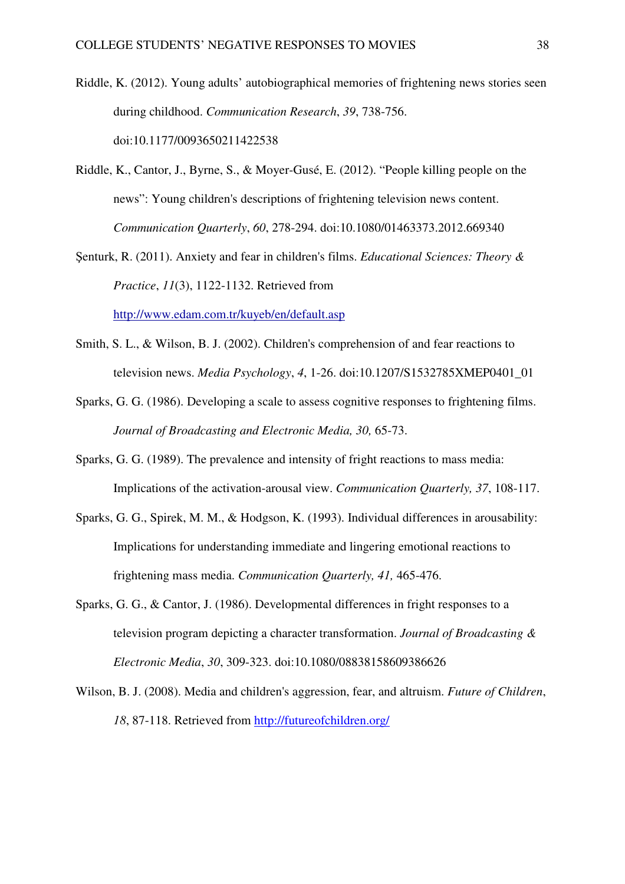- Riddle, K. (2012). Young adults' autobiographical memories of frightening news stories seen during childhood. *Communication Research*, *39*, 738-756. doi:10.1177/0093650211422538
- Riddle, K., Cantor, J., Byrne, S., & Moyer-Gusé, E. (2012). "People killing people on the news": Young children's descriptions of frightening television news content. *Communication Quarterly*, *60*, 278-294. doi:10.1080/01463373.2012.669340
- Şenturk, R. (2011). Anxiety and fear in children's films. *Educational Sciences: Theory & Practice*, *11*(3), 1122-1132. Retrieved from http://www.edam.com.tr/kuyeb/en/default.asp
- Smith, S. L., & Wilson, B. J. (2002). Children's comprehension of and fear reactions to television news. *Media Psychology*, *4*, 1-26. doi:10.1207/S1532785XMEP0401\_01
- Sparks, G. G. (1986). Developing a scale to assess cognitive responses to frightening films.  *Journal of Broadcasting and Electronic Media, 30,* 65-73.
- Sparks, G. G. (1989). The prevalence and intensity of fright reactions to mass media: Implications of the activation-arousal view. *Communication Quarterly, 37*, 108-117.
- Sparks, G. G., Spirek, M. M., & Hodgson, K. (1993). Individual differences in arousability: Implications for understanding immediate and lingering emotional reactions to frightening mass media. *Communication Quarterly, 41,* 465-476.
- Sparks, G. G., & Cantor, J. (1986). Developmental differences in fright responses to a television program depicting a character transformation. *Journal of Broadcasting & Electronic Media*, *30*, 309-323. doi:10.1080/08838158609386626
- Wilson, B. J. (2008). Media and children's aggression, fear, and altruism. *Future of Children*, *18*, 87-118. Retrieved from http://futureofchildren.org/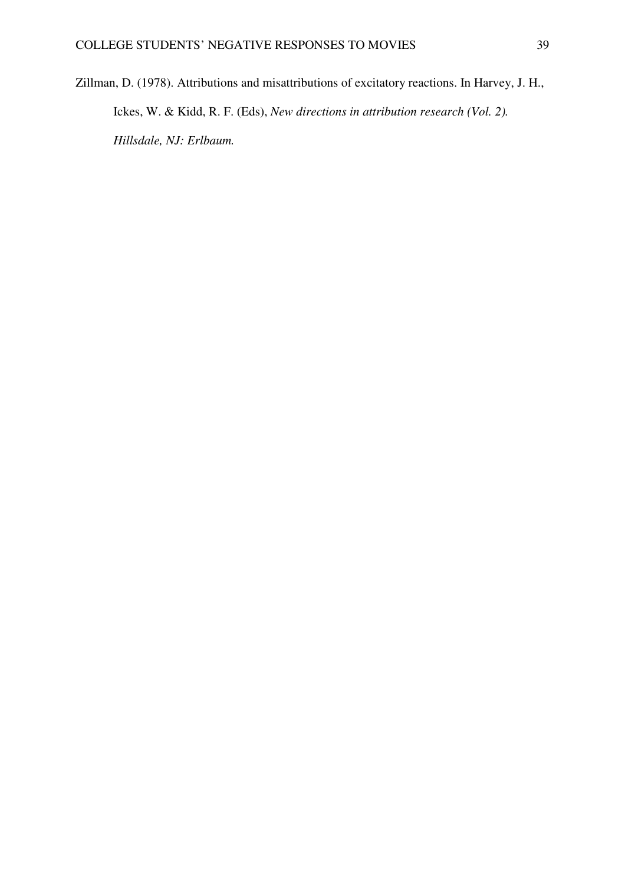Zillman, D. (1978). Attributions and misattributions of excitatory reactions. In Harvey, J. H., Ickes, W. & Kidd, R. F. (Eds), *New directions in attribution research (Vol. 2). Hillsdale, NJ: Erlbaum.*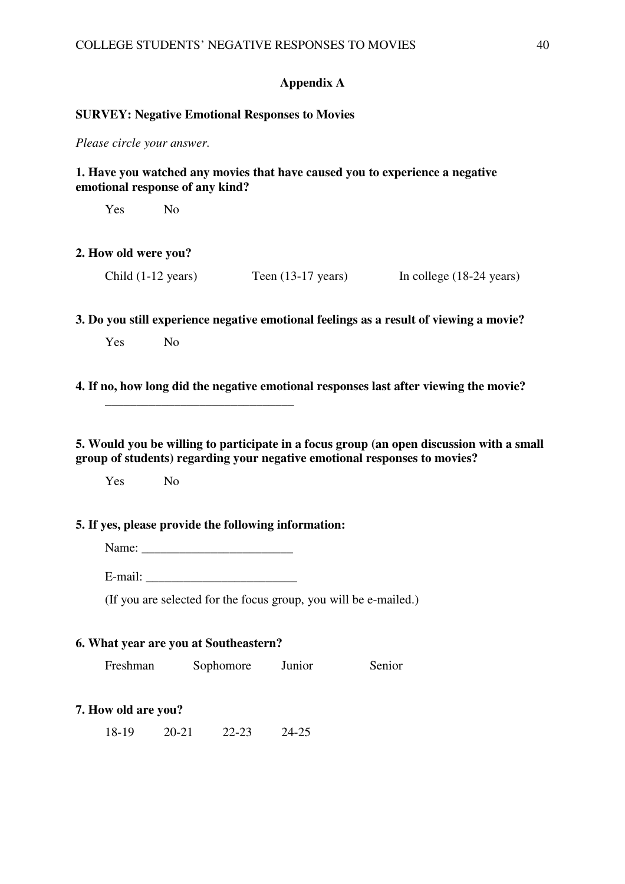## **Appendix A**

#### **SURVEY: Negative Emotional Responses to Movies**

*Please circle your answer.*

## **1. Have you watched any movies that have caused you to experience a negative emotional response of any kind?**

Yes No

## **2. How old were you?**

| Child $(1-12 \text{ years})$ | Teen $(13-17 \text{ years})$ | In college $(18-24 \text{ years})$ |
|------------------------------|------------------------------|------------------------------------|
|------------------------------|------------------------------|------------------------------------|

**3. Do you still experience negative emotional feelings as a result of viewing a movie?**

Yes No

**4. If no, how long did the negative emotional responses last after viewing the movie?** 

**5. Would you be willing to participate in a focus group (an open discussion with a small group of students) regarding your negative emotional responses to movies?** 

Yes No

## **5. If yes, please provide the following information:**

Name: \_\_\_\_\_\_\_\_\_\_\_\_\_\_\_\_\_\_\_\_\_\_\_\_

 **\_\_\_\_\_\_\_\_\_\_\_\_\_\_\_\_\_\_\_\_\_\_\_\_\_\_\_\_\_\_** 

 $E$ -mail:  $\Box$ 

(If you are selected for the focus group, you will be e-mailed.)

#### **6. What year are you at Southeastern?**

Freshman Sophomore Junior Senior

## **7. How old are you?**

18-19 20-21 22-23 24-25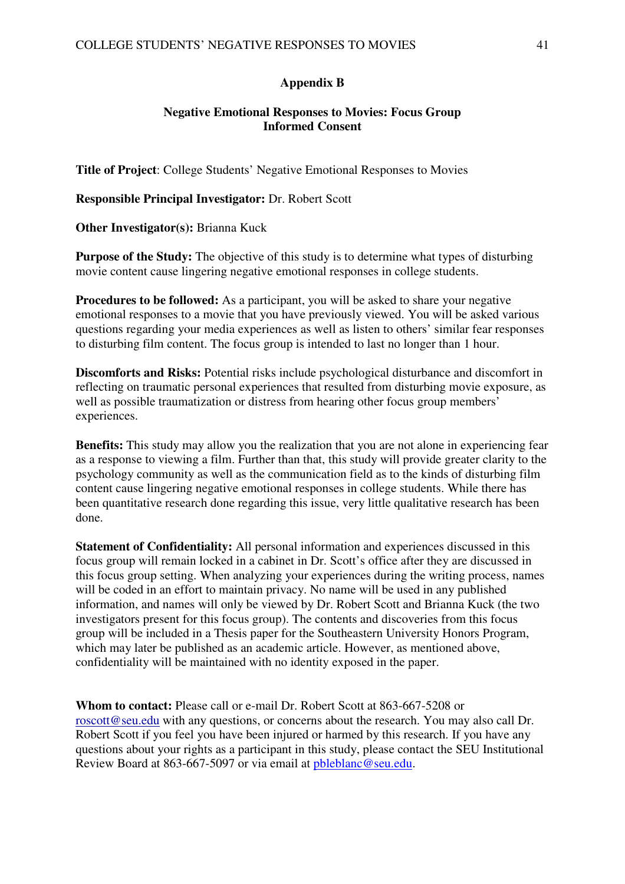## **Appendix B**

## **Negative Emotional Responses to Movies: Focus Group Informed Consent**

**Title of Project**: College Students' Negative Emotional Responses to Movies

**Responsible Principal Investigator:** Dr. Robert Scott

**Other Investigator(s):** Brianna Kuck

**Purpose of the Study:** The objective of this study is to determine what types of disturbing movie content cause lingering negative emotional responses in college students.

**Procedures to be followed:** As a participant, you will be asked to share your negative emotional responses to a movie that you have previously viewed. You will be asked various questions regarding your media experiences as well as listen to others' similar fear responses to disturbing film content. The focus group is intended to last no longer than 1 hour.

**Discomforts and Risks:** Potential risks include psychological disturbance and discomfort in reflecting on traumatic personal experiences that resulted from disturbing movie exposure, as well as possible traumatization or distress from hearing other focus group members' experiences.

**Benefits:** This study may allow you the realization that you are not alone in experiencing fear as a response to viewing a film. Further than that, this study will provide greater clarity to the psychology community as well as the communication field as to the kinds of disturbing film content cause lingering negative emotional responses in college students. While there has been quantitative research done regarding this issue, very little qualitative research has been done.

**Statement of Confidentiality:** All personal information and experiences discussed in this focus group will remain locked in a cabinet in Dr. Scott's office after they are discussed in this focus group setting. When analyzing your experiences during the writing process, names will be coded in an effort to maintain privacy. No name will be used in any published information, and names will only be viewed by Dr. Robert Scott and Brianna Kuck (the two investigators present for this focus group). The contents and discoveries from this focus group will be included in a Thesis paper for the Southeastern University Honors Program, which may later be published as an academic article. However, as mentioned above, confidentiality will be maintained with no identity exposed in the paper.

**Whom to contact:** Please call or e-mail Dr. Robert Scott at 863-667-5208 or roscott@seu.edu with any questions, or concerns about the research. You may also call Dr. Robert Scott if you feel you have been injured or harmed by this research. If you have any questions about your rights as a participant in this study, please contact the SEU Institutional Review Board at 863-667-5097 or via email at pbleblanc@seu.edu.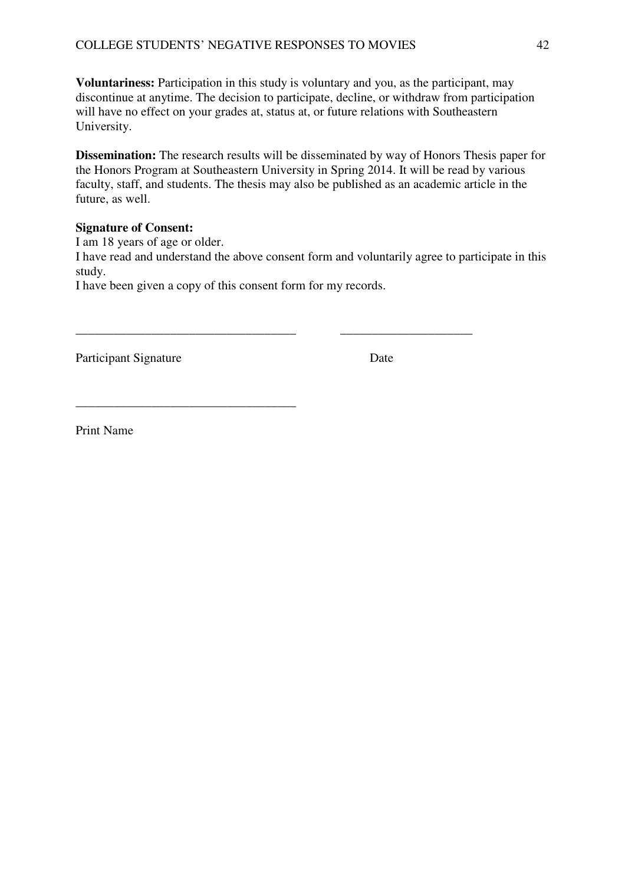**Voluntariness:** Participation in this study is voluntary and you, as the participant, may discontinue at anytime. The decision to participate, decline, or withdraw from participation will have no effect on your grades at, status at, or future relations with Southeastern University.

**Dissemination:** The research results will be disseminated by way of Honors Thesis paper for the Honors Program at Southeastern University in Spring 2014. It will be read by various faculty, staff, and students. The thesis may also be published as an academic article in the future, as well.

## **Signature of Consent:**

I am 18 years of age or older. I have read and understand the above consent form and voluntarily agree to participate in this study. I have been given a copy of this consent form for my records.

\_\_\_\_\_\_\_\_\_\_\_\_\_\_\_\_\_\_\_\_\_\_\_\_\_\_\_\_\_\_\_\_\_\_\_ \_\_\_\_\_\_\_\_\_\_\_\_\_\_\_\_\_\_\_\_\_

**\_\_\_\_\_\_\_\_\_\_\_\_\_\_\_\_\_\_\_\_\_\_\_\_\_\_\_\_\_\_\_\_\_\_\_** 

Participant Signature Date

Print Name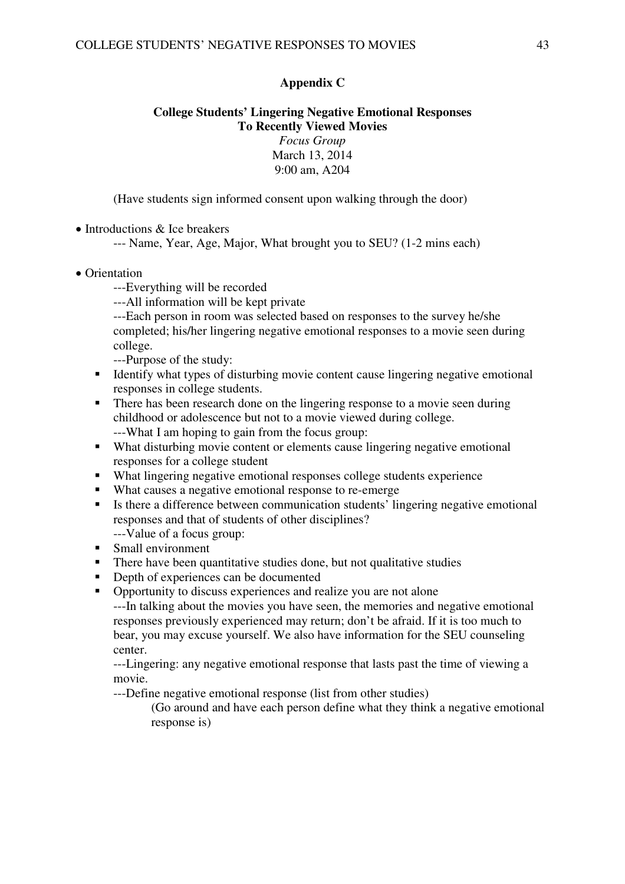## **Appendix C**

## **College Students' Lingering Negative Emotional Responses To Recently Viewed Movies**  *Focus Group*  March 13, 2014 9:00 am, A204

(Have students sign informed consent upon walking through the door)

• Introductions & Ice breakers

--- Name, Year, Age, Major, What brought you to SEU? (1-2 mins each)

- Orientation
	- ---Everything will be recorded
	- ---All information will be kept private

---Each person in room was selected based on responses to the survey he/she completed; his/her lingering negative emotional responses to a movie seen during college.

---Purpose of the study:

- Identify what types of disturbing movie content cause lingering negative emotional responses in college students.
- **There has been research done on the lingering response to a movie seen during** childhood or adolescence but not to a movie viewed during college. ---What I am hoping to gain from the focus group:
- What disturbing movie content or elements cause lingering negative emotional responses for a college student
- What lingering negative emotional responses college students experience
- What causes a negative emotional response to re-emerge
- Is there a difference between communication students' lingering negative emotional responses and that of students of other disciplines? ---Value of a focus group:
- Small environment
- There have been quantitative studies done, but not qualitative studies
- Depth of experiences can be documented
- Opportunity to discuss experiences and realize you are not alone

---In talking about the movies you have seen, the memories and negative emotional responses previously experienced may return; don't be afraid. If it is too much to bear, you may excuse yourself. We also have information for the SEU counseling center.

---Lingering: any negative emotional response that lasts past the time of viewing a movie.

---Define negative emotional response (list from other studies)

(Go around and have each person define what they think a negative emotional response is)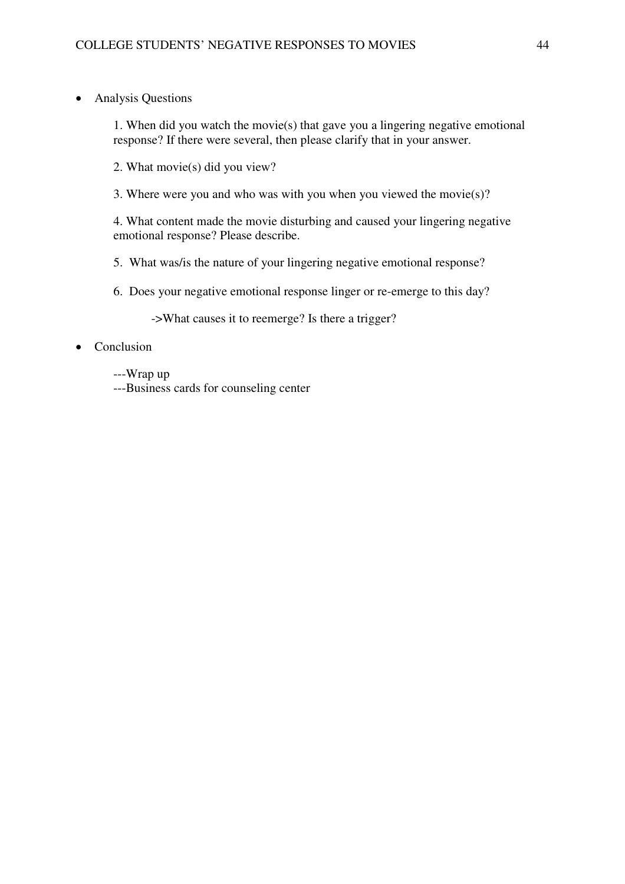• Analysis Questions

1. When did you watch the movie(s) that gave you a lingering negative emotional response? If there were several, then please clarify that in your answer.

- 2. What movie(s) did you view?
- 3. Where were you and who was with you when you viewed the movie(s)?

4. What content made the movie disturbing and caused your lingering negative emotional response? Please describe.

- 5. What was/is the nature of your lingering negative emotional response?
- 6. Does your negative emotional response linger or re-emerge to this day?

->What causes it to reemerge? Is there a trigger?

## • Conclusion

- ---Wrap up
- ---Business cards for counseling center